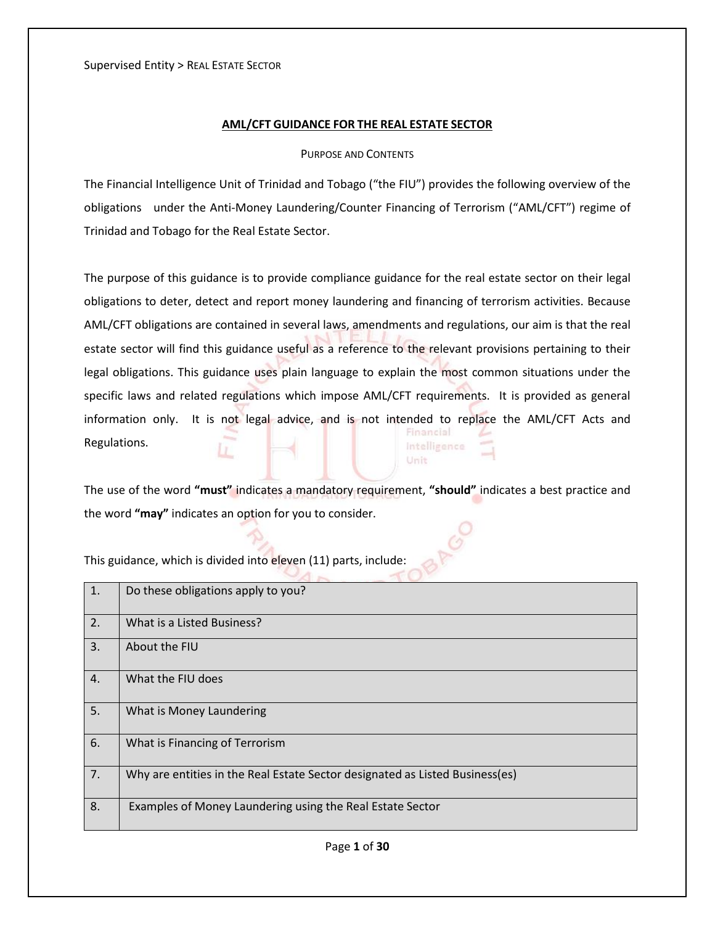## **AML/CFT GUIDANCE FOR THE REAL ESTATE SECTOR**

#### PURPOSE AND CONTENTS

The Financial Intelligence Unit of Trinidad and Tobago ("the FIU") provides the following overview of the obligations under the Anti-Money Laundering/Counter Financing of Terrorism ("AML/CFT") regime of Trinidad and Tobago for the Real Estate Sector.

The purpose of this guidance is to provide compliance guidance for the real estate sector on their legal obligations to deter, detect and report money laundering and financing of terrorism activities. Because AML/CFT obligations are contained in several laws, amendments and regulations, our aim is that the real estate sector will find this guidance useful as a reference to the relevant provisions pertaining to their legal obligations. This guidance uses plain language to explain the most common situations under the specific laws and related regulations which impose AML/CFT requirements. It is provided as general information only. It is not legal advice, and is not intended to replace the AML/CFT Acts and Financial Regulations. Intelligence

The use of the word **"must"** indicates a mandatory requirement, **"should"** indicates a best practice and the word **"may"** indicates an option for you to consider.

Unit

| 1. | Do these obligations apply to you?                                           |
|----|------------------------------------------------------------------------------|
| 2. | What is a Listed Business?                                                   |
| 3. | About the FIU                                                                |
| 4. | What the FIU does                                                            |
| 5. | What is Money Laundering                                                     |
| 6. | What is Financing of Terrorism                                               |
| 7. | Why are entities in the Real Estate Sector designated as Listed Business(es) |
| 8. | Examples of Money Laundering using the Real Estate Sector                    |

This guidance, which is divided into eleven (11) parts, include: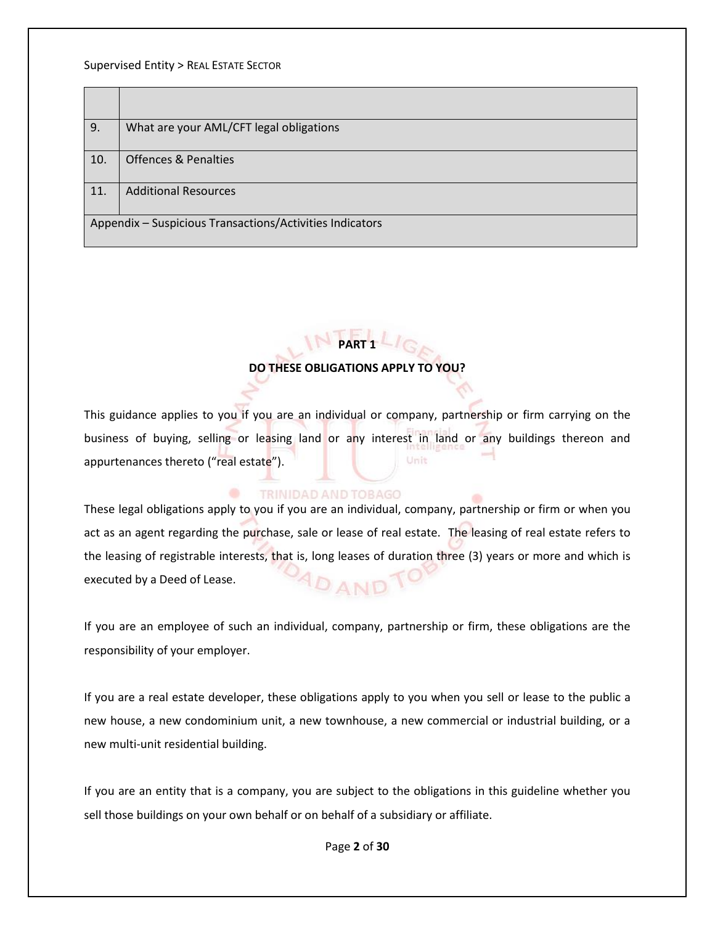| 9.                                                       | What are your AML/CFT legal obligations |
|----------------------------------------------------------|-----------------------------------------|
| 10.                                                      | <b>Offences &amp; Penalties</b>         |
| 11.                                                      | <b>Additional Resources</b>             |
| Appendix - Suspicious Transactions/Activities Indicators |                                         |

# **PART 1**

## **DO THESE OBLIGATIONS APPLY TO YOU?**

This guidance applies to you if you are an individual or company, partnership or firm carrying on the business of buying, selling or leasing land or any interest in land or any buildings thereon and appurtenances thereto ("real estate"). Unit

## TRINIDAD AND TOBAGO

These legal obligations apply to you if you are an individual, company, partnership or firm or when you act as an agent regarding the purchase, sale or lease of real estate. The leasing of real estate refers to the leasing of registrable interests, that is, long leases of duration three (3) years or more and which is executed by a Deed of Lease. DAND

If you are an employee of such an individual, company, partnership or firm, these obligations are the responsibility of your employer.

If you are a real estate developer, these obligations apply to you when you sell or lease to the public a new house, a new condominium unit, a new townhouse, a new commercial or industrial building, or a new multi-unit residential building.

If you are an entity that is a company, you are subject to the obligations in this guideline whether you sell those buildings on your own behalf or on behalf of a subsidiary or affiliate.

Page **2** of **30**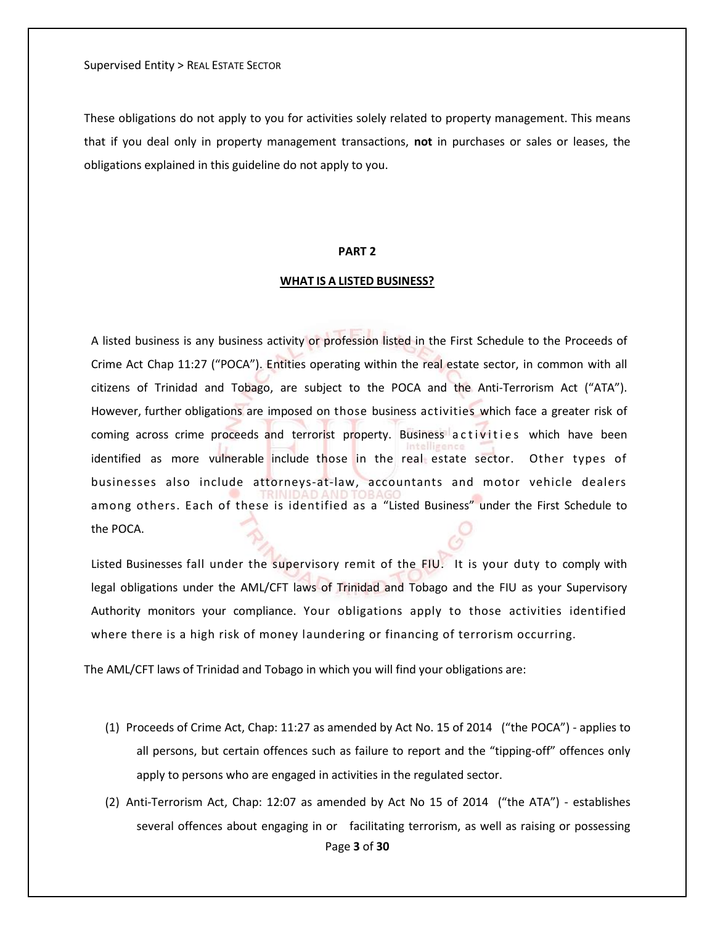These obligations do not apply to you for activities solely related to property management. This means that if you deal only in property management transactions, **not** in purchases or sales or leases, the obligations explained in this guideline do not apply to you.

#### **PART 2**

#### **WHAT IS A LISTED BUSINESS?**

A listed business is any business activity or profession listed in the First Schedule to the Proceeds of Crime Act Chap 11:27 ("POCA"). Entities operating within the real estate sector, in common with all citizens of Trinidad and Tobago, are subject to the POCA and the Anti-Terrorism Act ("ATA"). However, further obligations are imposed on those business activities which face a greater risk of coming across crime proceeds and terrorist property. Business activities which have been identified as more vulnerable include those in the real estate sector. Other types of businesses also include attorneys-at-law, accountants and motor vehicle dealers among others. Each of these is identified as a "Listed Business" under the First Schedule to the POCA.

Listed Businesses fall under the supervisory remit of the FIU. It is your duty to comply with legal obligations under the AML/CFT laws of Trinidad and Tobago and the FIU as your Supervisory Authority monitors your compliance. Your obligations apply to those activities identified where there is a high risk of money laundering or financing of terrorism occurring.

The AML/CFT laws of Trinidad and Tobago in which you will find your obligations are:

- (1) Proceeds of Crime Act, Chap: 11:27 as amended by Act No. 15 of 2014 ("the POCA") applies to all persons, but certain offences such as failure to report and the "tipping-off" offences only apply to persons who are engaged in activities in the regulated sector.
- Page **3** of **30** (2) Anti-Terrorism Act, Chap: 12:07 as amended by Act No 15 of 2014 ("the ATA") - establishes several offences about engaging in or facilitating terrorism, as well as raising or possessing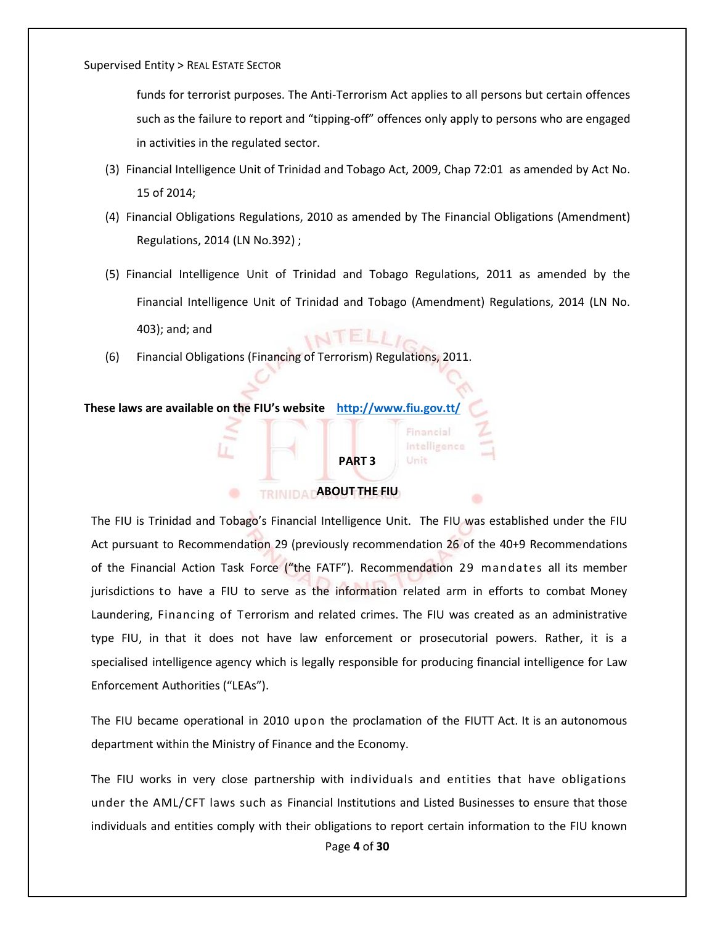funds for terrorist purposes. The Anti-Terrorism Act applies to all persons but certain offences such as the failure to report and "tipping-off" offences only apply to persons who are engaged in activities in the regulated sector.

- (3) Financial Intelligence Unit of Trinidad and Tobago Act, 2009, Chap 72:01 as amended by Act No. 15 of 2014;
- (4) Financial Obligations Regulations, 2010 as amended by The Financial Obligations (Amendment) Regulations, 2014 (LN No.392) ;
- (5) Financial Intelligence Unit of Trinidad and Tobago Regulations, 2011 as amended by the Financial Intelligence Unit of Trinidad and Tobago (Amendment) Regulations, 2014 (LN No. 403); and; and INTELLI<sub>O</sub>
- (6) Financial Obligations (Financing of Terrorism) Regulations, 2011.

#### **These laws are available on the FIU's website <http://www.fiu.gov.tt/>**

۰

## **PART 3**

Financial Intelligence Unit

## **ABOUT THE FIU**

The FIU is Trinidad and Tobago's Financial Intelligence Unit. The FIU was established under the FIU Act pursuant to Recommendation 29 (previously recommendation 26 of the 40+9 Recommendations of the Financial Action Task Force ("the FATF"). Recommendation 29 mandates all its member jurisdictions to have a FIU to serve as the information related arm in efforts to combat Money Laundering, Financing of Terrorism and related crimes. The FIU was created as an administrative type FIU, in that it does not have law enforcement or prosecutorial powers. Rather, it is a specialised intelligence agency which is legally responsible for producing financial intelligence for Law Enforcement Authorities ("LEAs").

The FIU became operational in 2010 upon the proclamation of the FIUTT Act. It is an autonomous department within the Ministry of Finance and the Economy.

The FIU works in very close partnership with individuals and entities that have obligations under the AML/CFT laws such as Financial Institutions and Listed Businesses to ensure that those individuals and entities comply with their obligations to report certain information to the FIU known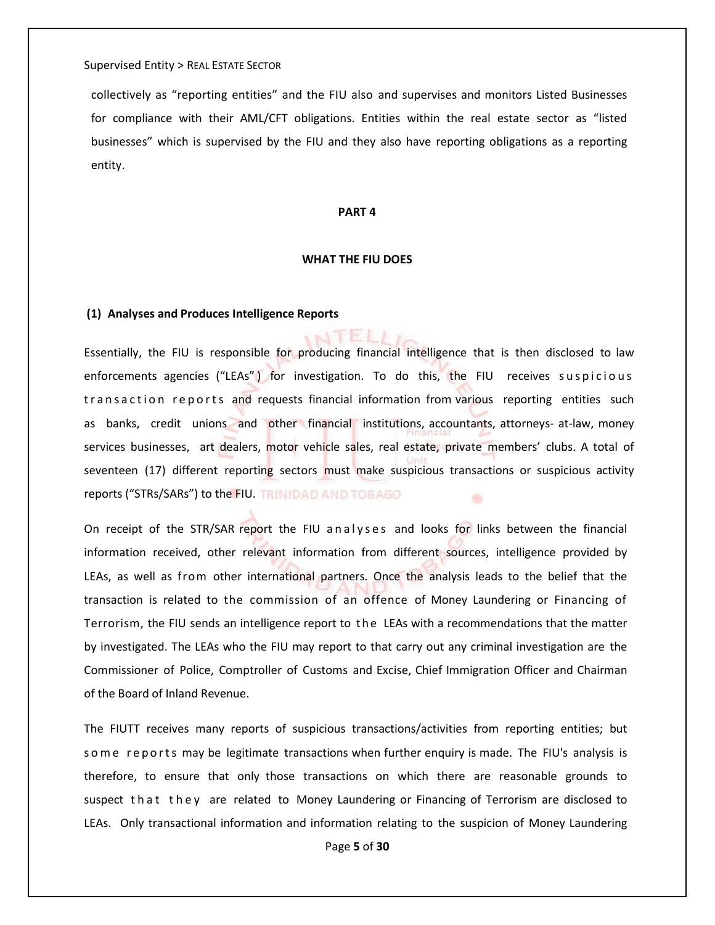collectively as "reporting entities" and the FIU also and supervises and monitors Listed Businesses for compliance with their AML/CFT obligations. Entities within the real estate sector as "listed businesses" which is supervised by the FIU and they also have reporting obligations as a reporting entity.

#### **PART 4**

#### **WHAT THE FIU DOES**

 $\mathbf{N}$  ELL

#### **(1) Analyses and Produces Intelligence Reports**

Essentially, the FIU is responsible for producing financial intelligence that is then disclosed to law enforcements agencies ("LEAs") for investigation. To do this, the FIU receives suspicious transaction reports and requests financial information from various reporting entities such as banks, credit unions and other financial institutions, accountants, attorneys- at-law, money services businesses, art dealers, motor vehicle sales, real estate, private members' clubs. A total of seventeen (17) different reporting sectors must make suspicious transactions or suspicious activity reports ("STRs/SARs") to the FIU. ÷

On receipt of the STR/SAR report the FIU analyses and looks for links between the financial information received, other relevant information from different sources, intelligence provided by LEAs, as well as from other international partners. Once the analysis leads to the belief that the transaction is related to the commission of an offence of Money Laundering or Financing of Terrorism, the FIU sends an intelligence report to the LEAs with a recommendations that the matter by investigated. The LEAs who the FIU may report to that carry out any criminal investigation are the Commissioner of Police, Comptroller of Customs and Excise, Chief Immigration Officer and Chairman of the Board of Inland Revenue.

The FIUTT receives many reports of suspicious transactions/activities from reporting entities; but some reports may be legitimate transactions when further enquiry is made. The FIU's analysis is therefore, to ensure that only those transactions on which there are reasonable grounds to suspect that they are related to Money Laundering or Financing of Terrorism are disclosed to LEAs. Only transactional information and information relating to the suspicion of Money Laundering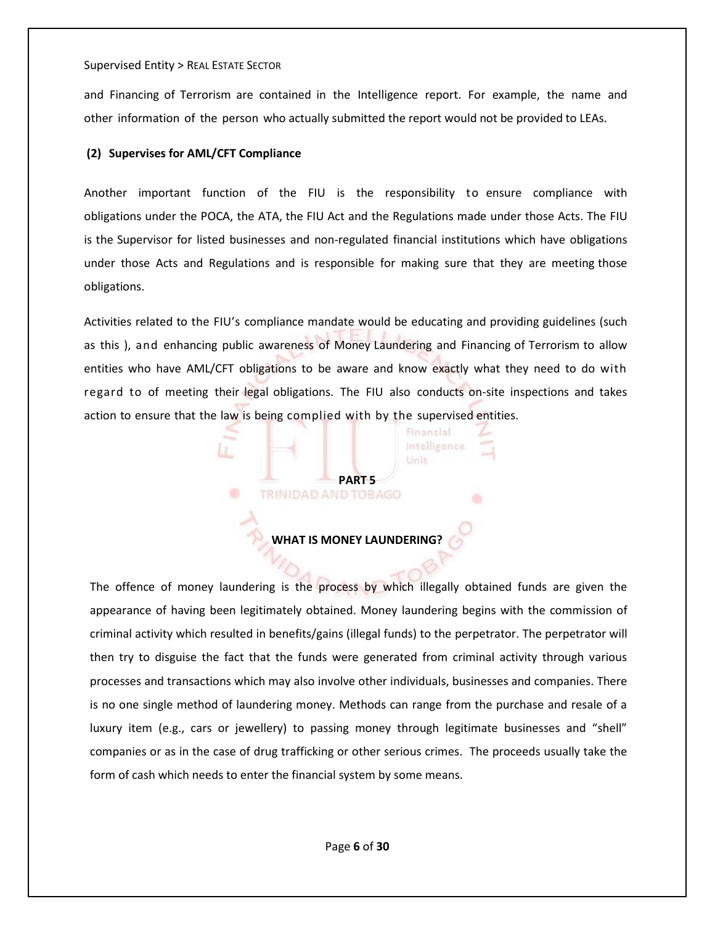and Financing of Terrorism are contained in the Intelligence report. For example, the name and other information of the person who actually submitted the report would not be provided to LEAs.

## **(2) Supervises for AML/CFT Compliance**

Another important function of the FIU is the responsibility to ensure compliance with obligations under the POCA, the ATA, the FIU Act and the Regulations made under those Acts. The FIU is the Supervisor for listed businesses and non-regulated financial institutions which have obligations under those Acts and Regulations and is responsible for making sure that they are meeting those obligations.

Activities related to the FIU's compliance mandate would be educating and providing guidelines (such as this ), and enhancing public awareness of Money Laundering and Financing of Terrorism to allow entities who have AML/CFT obligations to be aware and know exactly what they need to do with regard to of meeting their legal obligations. The FIU also conducts on-site inspections and takes action to ensure that the law is being complied with by the supervised entities.

> Financial Intelligence Unit

## **WHAT IS MONEY LAUNDERING?**

**PART 5**<br>**TRINIDAD AND TOBAGO** 

The offence of money laundering is the process by which illegally obtained funds are given the appearance of having been legitimately obtained. Money laundering begins with the commission of criminal activity which resulted in benefits/gains (illegal funds) to the perpetrator. The perpetrator will then try to disguise the fact that the funds were generated from criminal activity through various processes and transactions which may also involve other individuals, businesses and companies. There is no one single method of laundering money. Methods can range from the purchase and resale of a luxury item (e.g., cars or jewellery) to passing money through legitimate businesses and "shell" companies or as in the case of drug trafficking or other serious crimes. The proceeds usually take the form of cash which needs to enter the financial system by some means.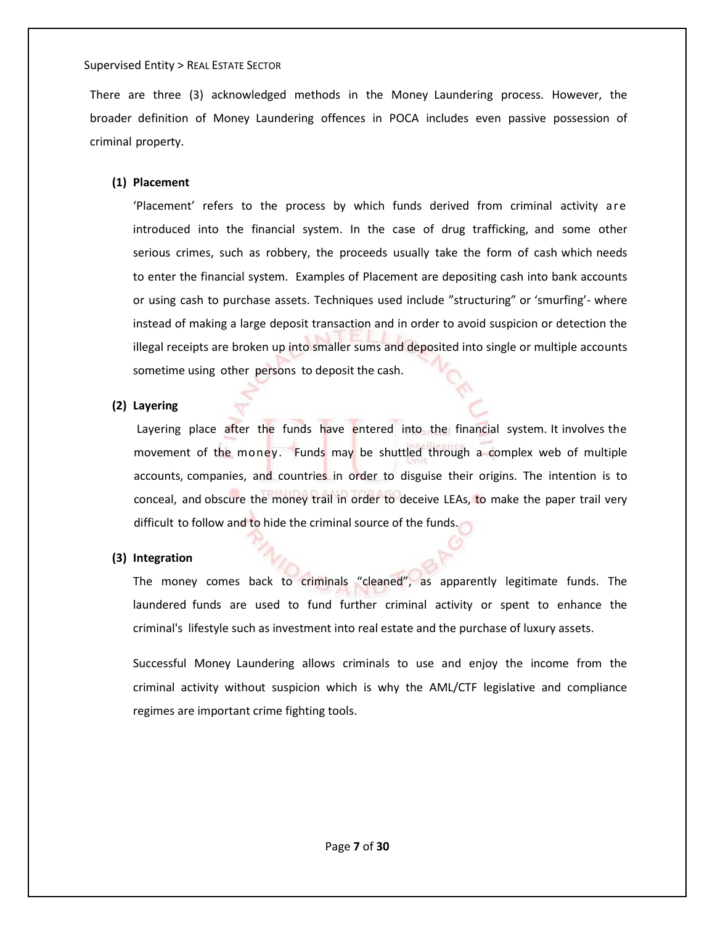There are three (3) acknowledged methods in the Money Laundering process. However, the broader definition of Money Laundering offences in POCA includes even passive possession of criminal property.

## **(1) Placement**

'Placement' refers to the process by which funds derived from criminal activity are introduced into the financial system. In the case of drug trafficking, and some other serious crimes, such as robbery, the proceeds usually take the form of cash which needs to enter the financial system. Examples of Placement are depositing cash into bank accounts or using cash to purchase assets. Techniques used include "structuring" or 'smurfing'- where instead of making a large deposit transaction and in order to avoid suspicion or detection the illegal receipts are broken up into smaller sums and deposited into single or multiple accounts sometime using other persons to deposit the cash.

## **(2) Layering**

Layering place after the funds have entered into the financial system. It involves the movement of the money. Funds may be shuttled through a complex web of multiple accounts, companies, and countries in order to disguise their origins. The intention is to conceal, and obscure the money trail in order to deceive LEAs, to make the paper trail very difficult to follow and to hide the criminal source of the funds.

## **(3) Integration**

The money comes back to criminals "cleaned", as apparently legitimate funds. The laundered funds are used to fund further criminal activity or spent to enhance the criminal's lifestyle such as investment into real estate and the purchase of luxury assets.

Successful Money Laundering allows criminals to use and enjoy the income from the criminal activity without suspicion which is why the AML/CTF legislative and compliance regimes are important crime fighting tools.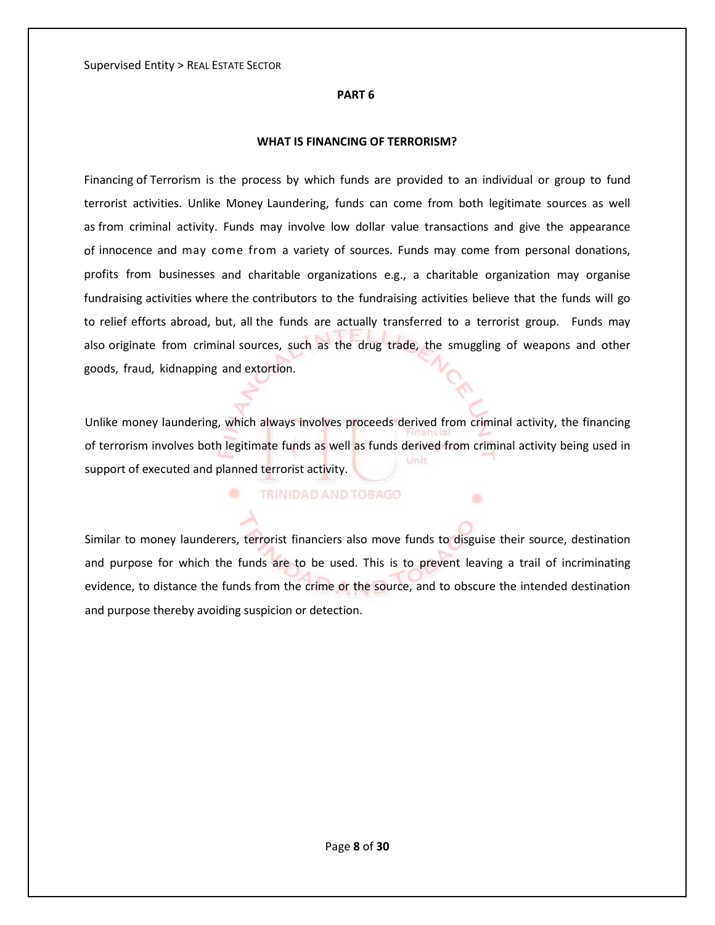#### **PART 6**

#### **WHAT IS FINANCING OF TERRORISM?**

Financing of Terrorism is the process by which funds are provided to an individual or group to fund terrorist activities. Unlike Money Laundering, funds can come from both legitimate sources as well as from criminal activity. Funds may involve low dollar value transactions and give the appearance of innocence and may come from a variety of sources. Funds may come from personal donations, profits from businesses and charitable organizations e.g., a charitable organization may organise fundraising activities where the contributors to the fundraising activities believe that the funds will go to relief efforts abroad, but, all the funds are actually transferred to a terrorist group. Funds may also originate from criminal sources, such as the drug trade, the smuggling of weapons and other goods, fraud, kidnapping and extortion.

Unlike money laundering, which always involves proceeds derived from criminal activity, the financing of terrorism involves both legitimate funds as well as funds derived from criminal activity being used in Unit support of executed and planned terrorist activity.

#### TRINIDAD AND TOBAGO

۰

Similar to money launderers, terrorist financiers also move funds to disguise their source, destination and purpose for which the funds are to be used. This is to prevent leaving a trail of incriminating evidence, to distance the funds from the crime or the source, and to obscure the intended destination and purpose thereby avoiding suspicion or detection.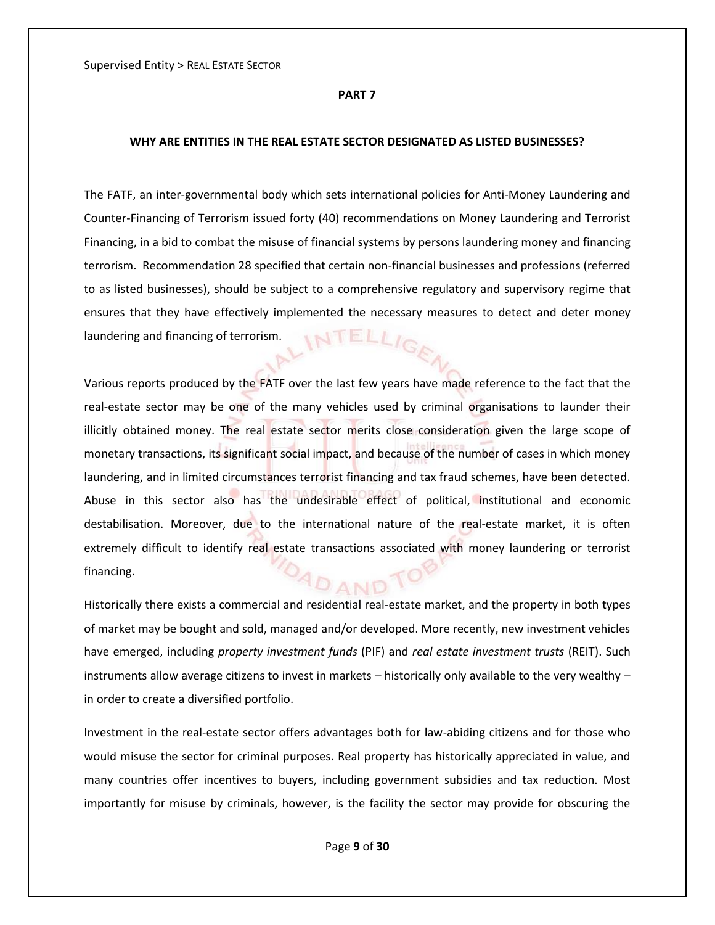#### **PART 7**

#### **WHY ARE ENTITIES IN THE REAL ESTATE SECTOR DESIGNATED AS LISTED BUSINESSES?**

The FATF, an inter-governmental body which sets international policies for Anti-Money Laundering and Counter-Financing of Terrorism issued forty (40) recommendations on Money Laundering and Terrorist Financing, in a bid to combat the misuse of financial systems by persons laundering money and financing terrorism. Recommendation 28 specified that certain non-financial businesses and professions (referred to as listed businesses), should be subject to a comprehensive regulatory and supervisory regime that ensures that they have effectively implemented the necessary measures to detect and deter money ELLIGE laundering and financing of terrorism.

Various reports produced by the FATF over the last few years have made reference to the fact that the real-estate sector may be one of the many vehicles used by criminal organisations to launder their illicitly obtained money. The real estate sector merits close consideration given the large scope of monetary transactions, its significant social impact, and because of the number of cases in which money laundering, and in limited circumstances terrorist financing and tax fraud schemes, have been detected. Abuse in this sector also has the undesirable effect of political, institutional and economic destabilisation. Moreover, due to the international nature of the real-estate market, it is often extremely difficult to identify real estate transactions associated with money laundering or terrorist financing. DAND

Historically there exists a commercial and residential real-estate market, and the property in both types of market may be bought and sold, managed and/or developed. More recently, new investment vehicles have emerged, including *property investment funds* (PIF) and *real estate investment trusts* (REIT). Such instruments allow average citizens to invest in markets – historically only available to the very wealthy – in order to create a diversified portfolio.

Investment in the real-estate sector offers advantages both for law-abiding citizens and for those who would misuse the sector for criminal purposes. Real property has historically appreciated in value, and many countries offer incentives to buyers, including government subsidies and tax reduction. Most importantly for misuse by criminals, however, is the facility the sector may provide for obscuring the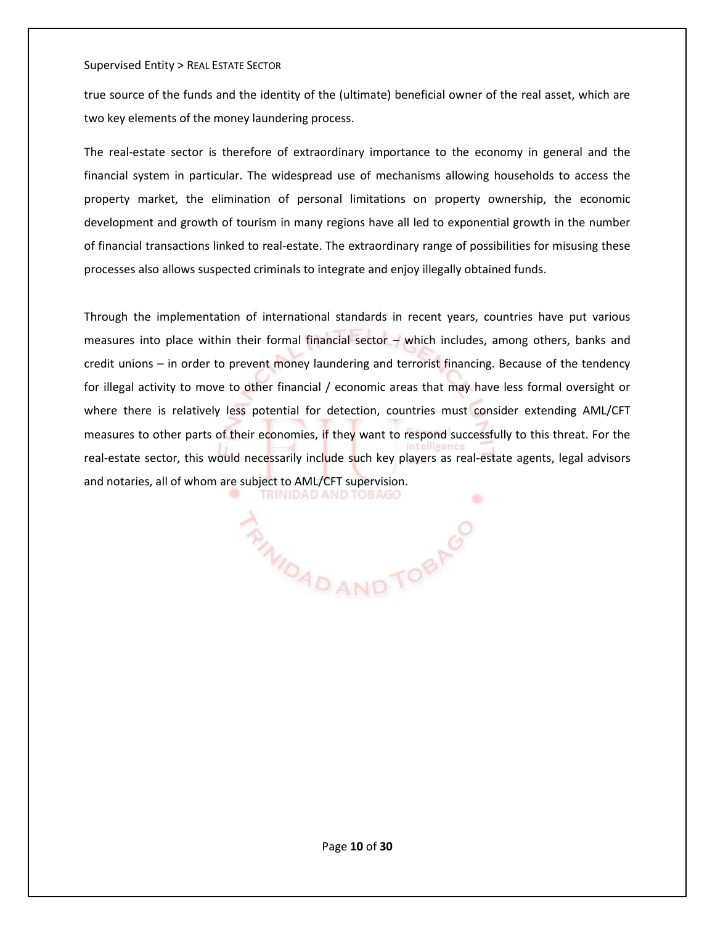true source of the funds and the identity of the (ultimate) beneficial owner of the real asset, which are two key elements of the money laundering process.

The real-estate sector is therefore of extraordinary importance to the economy in general and the financial system in particular. The widespread use of mechanisms allowing households to access the property market, the elimination of personal limitations on property ownership, the economic development and growth of tourism in many regions have all led to exponential growth in the number of financial transactions linked to real-estate. The extraordinary range of possibilities for misusing these processes also allows suspected criminals to integrate and enjoy illegally obtained funds.

Through the implementation of international standards in recent years, countries have put various measures into place within their formal financial sector – which includes, among others, banks and credit unions – in order to prevent money laundering and terrorist financing. Because of the tendency for illegal activity to move to other financial / economic areas that may have less formal oversight or where there is relatively less potential for detection, countries must consider extending AML/CFT measures to other parts of their economies, if they want to respond successfully to this threat. For the real-estate sector, this would necessarily include such key players as real-estate agents, legal advisors and notaries, all of whom are subject to AML/CFT supervision. **TRINIDAD AND TOBAGO** ÷

*RINIDAD AND TOBRO*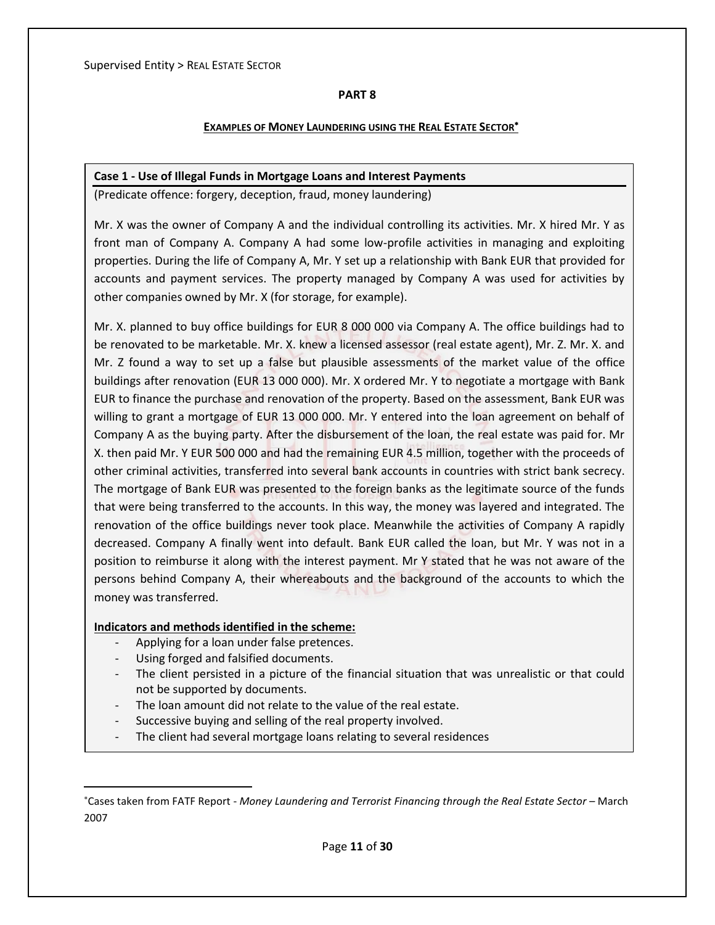## **PART 8**

## **EXAMPLES OF MONEY LAUNDERING USING THE REAL ESTATE SECTOR**

## **Case 1 - Use of Illegal Funds in Mortgage Loans and Interest Payments**

(Predicate offence: forgery, deception, fraud, money laundering)

Mr. X was the owner of Company A and the individual controlling its activities. Mr. X hired Mr. Y as front man of Company A. Company A had some low-profile activities in managing and exploiting properties. During the life of Company A, Mr. Y set up a relationship with Bank EUR that provided for accounts and payment services. The property managed by Company A was used for activities by other companies owned by Mr. X (for storage, for example).

Mr. X. planned to buy office buildings for EUR 8 000 000 via Company A. The office buildings had to be renovated to be marketable. Mr. X. knew a licensed assessor (real estate agent), Mr. Z. Mr. X. and Mr. Z found a way to set up a false but plausible assessments of the market value of the office buildings after renovation (EUR 13 000 000). Mr. X ordered Mr. Y to negotiate a mortgage with Bank EUR to finance the purchase and renovation of the property. Based on the assessment, Bank EUR was willing to grant a mortgage of EUR 13 000 000. Mr. Y entered into the loan agreement on behalf of Company A as the buying party. After the disbursement of the loan, the real estate was paid for. Mr X. then paid Mr. Y EUR 500 000 and had the remaining EUR 4.5 million, together with the proceeds of other criminal activities, transferred into several bank accounts in countries with strict bank secrecy. The mortgage of Bank EUR was presented to the foreign banks as the legitimate source of the funds that were being transferred to the accounts. In this way, the money was layered and integrated. The renovation of the office buildings never took place. Meanwhile the activities of Company A rapidly decreased. Company A finally went into default. Bank EUR called the loan, but Mr. Y was not in a position to reimburse it along with the interest payment. Mr Y stated that he was not aware of the persons behind Company A, their whereabouts and the background of the accounts to which the money was transferred.

## **Indicators and methods identified in the scheme:**

- Applying for a loan under false pretences.
- Using forged and falsified documents.

 $\overline{\phantom{a}}$ 

- The client persisted in a picture of the financial situation that was unrealistic or that could not be supported by documents.
- The loan amount did not relate to the value of the real estate.
- Successive buying and selling of the real property involved.
- The client had several mortgage loans relating to several residences

<sup>\*</sup>Cases taken from FATF Report - *Money Laundering and Terrorist Financing through the Real Estate Sector* – March 2007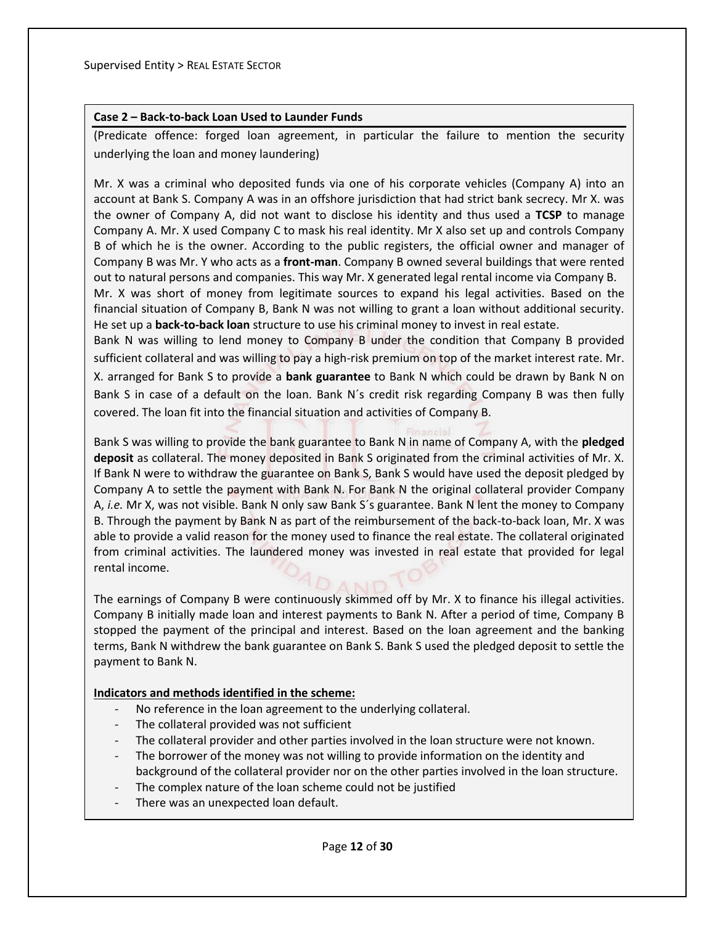## **Case 2 – Back-to-back Loan Used to Launder Funds**

(Predicate offence: forged loan agreement, in particular the failure to mention the security underlying the loan and money laundering)

Mr. X was a criminal who deposited funds via one of his corporate vehicles (Company A) into an account at Bank S. Company A was in an offshore jurisdiction that had strict bank secrecy. Mr X. was the owner of Company A, did not want to disclose his identity and thus used a **TCSP** to manage Company A. Mr. X used Company C to mask his real identity. Mr X also set up and controls Company B of which he is the owner. According to the public registers, the official owner and manager of Company B was Mr. Y who acts as a **front-man**. Company B owned several buildings that were rented out to natural persons and companies. This way Mr. X generated legal rental income via Company B. Mr. X was short of money from legitimate sources to expand his legal activities. Based on the financial situation of Company B, Bank N was not willing to grant a loan without additional security. He set up a **back-to-back loan** structure to use his criminal money to invest in real estate.

Bank N was willing to lend money to Company B under the condition that Company B provided sufficient collateral and was willing to pay a high-risk premium on top of the market interest rate. Mr. X. arranged for Bank S to provide a **bank guarantee** to Bank N which could be drawn by Bank N on Bank S in case of a default on the loan. Bank N´s credit risk regarding Company B was then fully covered. The loan fit into the financial situation and activities of Company B.

Bank S was willing to provide the bank guarantee to Bank N in name of Company A, with the **pledged deposit** as collateral. The money deposited in Bank S originated from the criminal activities of Mr. X. If Bank N were to withdraw the guarantee on Bank S, Bank S would have used the deposit pledged by Company A to settle the payment with Bank N. For Bank N the original collateral provider Company A, *i.e.* Mr X, was not visible. Bank N only saw Bank S´s guarantee. Bank N lent the money to Company B. Through the payment by Bank N as part of the reimbursement of the back-to-back loan, Mr. X was able to provide a valid reason for the money used to finance the real estate. The collateral originated from criminal activities. The laundered money was invested in real estate that provided for legal rental income.

The earnings of Company B were continuously skimmed off by Mr. X to finance his illegal activities. Company B initially made loan and interest payments to Bank N. After a period of time, Company B stopped the payment of the principal and interest. Based on the loan agreement and the banking terms, Bank N withdrew the bank guarantee on Bank S. Bank S used the pledged deposit to settle the payment to Bank N.

#### **Indicators and methods identified in the scheme:**

- No reference in the loan agreement to the underlying collateral.
- The collateral provided was not sufficient
- The collateral provider and other parties involved in the loan structure were not known.
- The borrower of the money was not willing to provide information on the identity and background of the collateral provider nor on the other parties involved in the loan structure.
- The complex nature of the loan scheme could not be justified
- There was an unexpected loan default.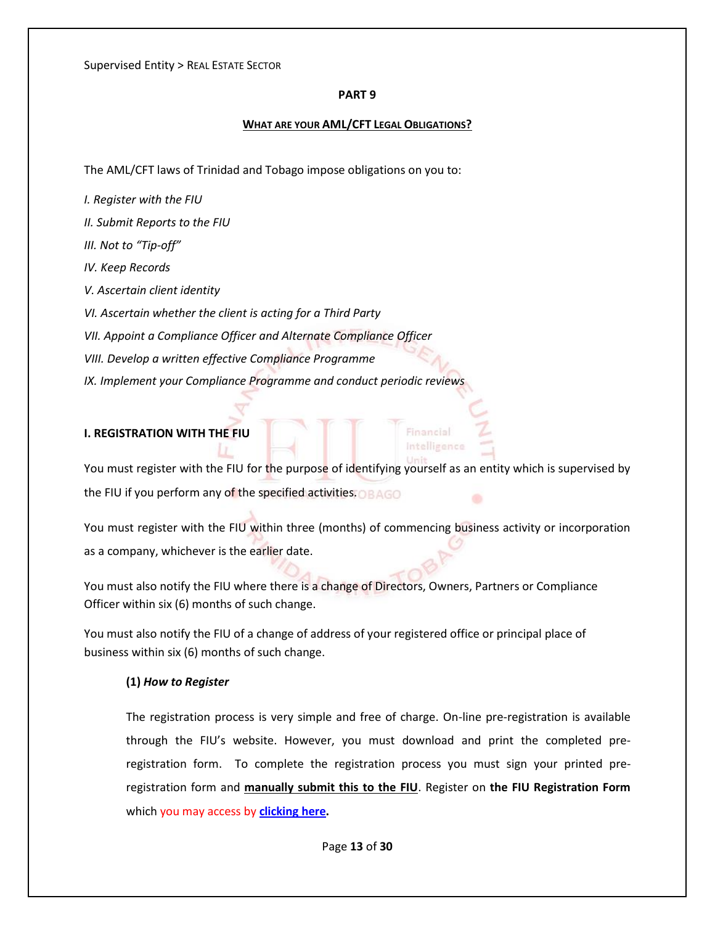## **PART 9**

## **WHAT ARE YOUR AML/CFT LEGAL OBLIGATIONS?**

The AML/CFT laws of Trinidad and Tobago impose obligations on you to:

- *I. Register with the FIU*
- *II. Submit Reports to the FIU*
- *III. Not to "Tip-off"*
- *IV. Keep Records*
- *V. Ascertain client identity*
- *VI. Ascertain whether the client is acting for a Third Party*
- *VII. Appoint a Compliance Officer and Alternate Compliance Officer*
- *VIII. Develop a written effective Compliance Programme*
- *IX. Implement your Compliance Programme and conduct periodic reviews*

## **I. REGISTRATION WITH THE FIU**

You must register with the FIU for the purpose of identifying yourself as an entity which is supervised by the FIU if you perform any of the specified activities.  $\bigcirc$  BAGO

Financial Intelligence

You must register with the FIU within three (months) of commencing business activity or incorporation as a company, whichever is the earlier date.

You must also notify the FIU where there is a change of Directors, Owners, Partners or Compliance Officer within six (6) months of such change.

You must also notify the FIU of a change of address of your registered office or principal place of business within six (6) months of such change.

## **(1)** *How to Register*

The registration process is very simple and free of charge. On-line pre-registration is available through the FIU's website. However, you must download and print the completed preregistration form. To complete the registration process you must sign your printed preregistration form and **manually submit this to the FIU**. Register on **the FIU Registration Form**  which you may access by **[clicking here.](https://www.fiu.gov.tt/wp-content/uploads/FIU-Registration-Form.pdf)**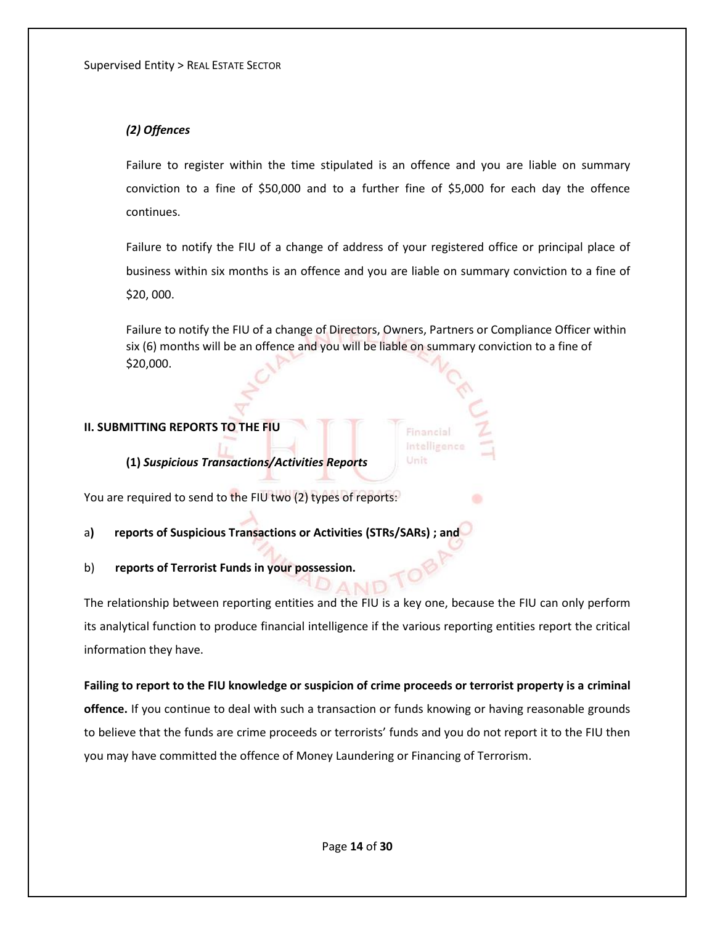## *(2) Offences*

Failure to register within the time stipulated is an offence and you are liable on summary conviction to a fine of \$50,000 and to a further fine of \$5,000 for each day the offence continues.

Failure to notify the FIU of a change of address of your registered office or principal place of business within six months is an offence and you are liable on summary conviction to a fine of \$20, 000.

Failure to notify the FIU of a change of Directors, Owners, Partners or Compliance Officer within six (6) months will be an offence and you will be liable on summary conviction to a fine of \$20,000.

> Financial Intelligence Unit

## **II. SUBMITTING REPORTS TO THE FIU**

**(1)** *Suspicious Transactions/Activities Reports*

You are required to send to the FIU two (2) types of reports:

a**) reports of Suspicious Transactions or Activities (STRs/SARs) ; and** 

b) **reports of Terrorist Funds in your possession.**

The relationship between reporting entities and the FIU is a key one, because the FIU can only perform its analytical function to produce financial intelligence if the various reporting entities report the critical information they have.

**Failing to report to the FIU knowledge or suspicion of crime proceeds or terrorist property is a criminal offence.** If you continue to deal with such a transaction or funds knowing or having reasonable grounds to believe that the funds are crime proceeds or terrorists' funds and you do not report it to the FIU then you may have committed the offence of Money Laundering or Financing of Terrorism.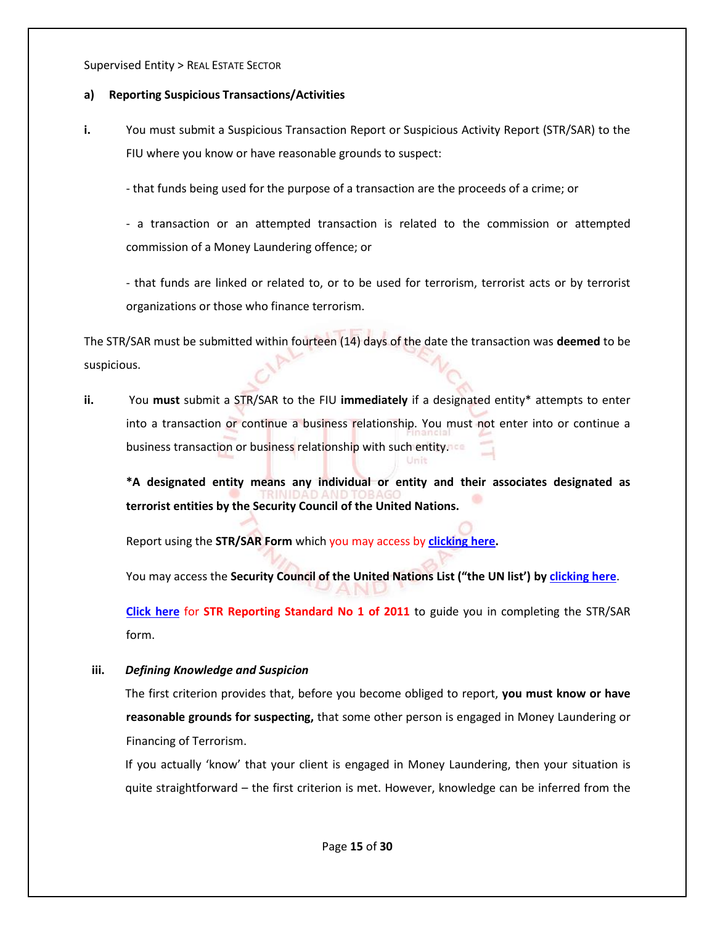## **a) Reporting Suspicious Transactions/Activities**

**i.** You must submit a Suspicious Transaction Report or Suspicious Activity Report (STR/SAR) to the FIU where you know or have reasonable grounds to suspect:

- that funds being used for the purpose of a transaction are the proceeds of a crime; or

- a transaction or an attempted transaction is related to the commission or attempted commission of a Money Laundering offence; or

- that funds are linked or related to, or to be used for terrorism, terrorist acts or by terrorist organizations or those who finance terrorism.

The STR/SAR must be submitted within fourteen (14) days of the date the transaction was **deemed** to be suspicious.

**ii.** You **must** submit a STR/SAR to the FIU **immediately** if a designated entity\* attempts to enter into a transaction or continue a business relationship. You must not enter into or continue a business transaction or business relationship with such entity.

**\*A designated entity means any individual or entity and their associates designated as terrorist entities by the Security Council of the United Nations.** 

Report using the **STR/SAR Form** which you may access by **[clicking here.](https://www.fiu.gov.tt/wp-content/uploads/Trinidad-and-Tobago-Suspicious-Activity-Report-Form-October-02-2019.pdf)** 

You may access the **Security Council of the United Nations List ("the UN list') by [clicking here](https://www.un.org/sc/suborg/en/sanctions/1267/aq_sanctions_list)**.

**[Click here](https://www.fiu.gov.tt/wp-content/uploads/Guidance-Note-on-STR-SAR-Reporting-Standard-October-02-2019.pdf)** for **STR Reporting Standard No 1 of 2011** to guide you in completing the STR/SAR form.

**iii.** *Defining Knowledge and Suspicion*

The first criterion provides that, before you become obliged to report, **you must know or have reasonable grounds for suspecting,** that some other person is engaged in Money Laundering or Financing of Terrorism.

If you actually 'know' that your client is engaged in Money Laundering, then your situation is quite straightforward – the first criterion is met. However, knowledge can be inferred from the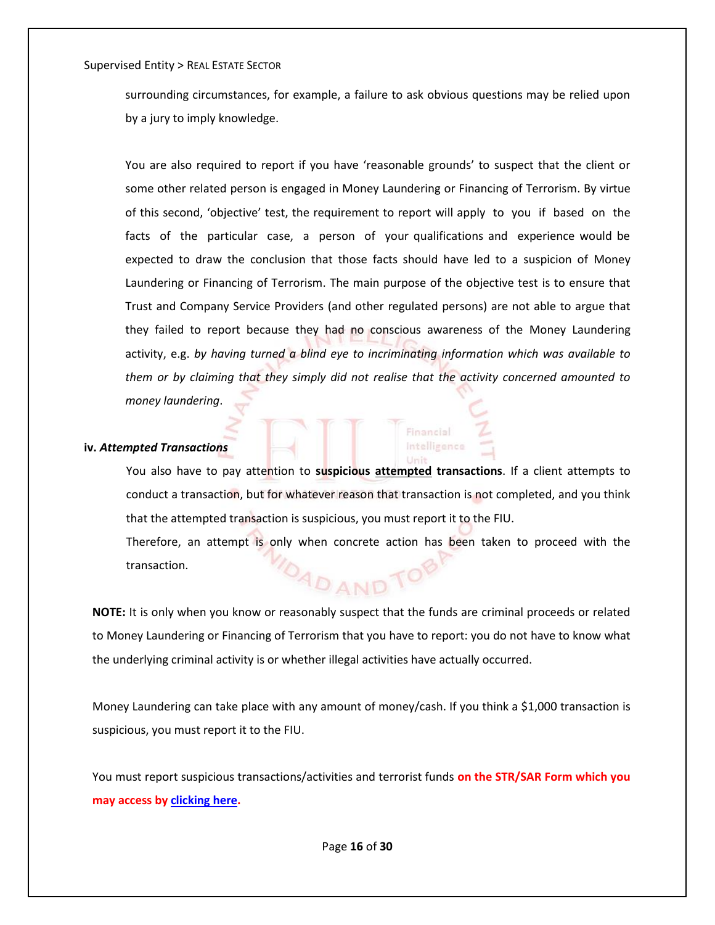surrounding circumstances, for example, a failure to ask obvious questions may be relied upon by a jury to imply knowledge.

You are also required to report if you have 'reasonable grounds' to suspect that the client or some other related person is engaged in Money Laundering or Financing of Terrorism. By virtue of this second, 'objective' test, the requirement to report will apply to you if based on the facts of the particular case, a person of your qualifications and experience would be expected to draw the conclusion that those facts should have led to a suspicion of Money Laundering or Financing of Terrorism. The main purpose of the objective test is to ensure that Trust and Company Service Providers (and other regulated persons) are not able to argue that they failed to report because they had no conscious awareness of the Money Laundering activity, e.g. *by having turned a blind eye to incriminating information which was available to them or by claiming that they simply did not realise that the activity concerned amounted to money laundering*.

#### **iv.** *Attempted Transactions*

You also have to pay attention to **suspicious attempted transactions**. If a client attempts to conduct a transaction, but for whatever reason that transaction is not completed, and you think that the attempted transaction is suspicious, you must report it to the FIU. Therefore, an attempt is only when concrete action has been taken to proceed with the AD AND TOP transaction.

inancial Intelligence

**NOTE:** It is only when you know or reasonably suspect that the funds are criminal proceeds or related to Money Laundering or Financing of Terrorism that you have to report: you do not have to know what the underlying criminal activity is or whether illegal activities have actually occurred.

Money Laundering can take place with any amount of money/cash. If you think a \$1,000 transaction is suspicious, you must report it to the FIU.

You must report suspicious transactions/activities and terrorist funds **on the STR/SAR Form which you may access by [clicking here.](https://www.fiu.gov.tt/wp-content/uploads/Trinidad-and-Tobago-Suspicious-Activity-Report-Form-October-02-2019.pdf)**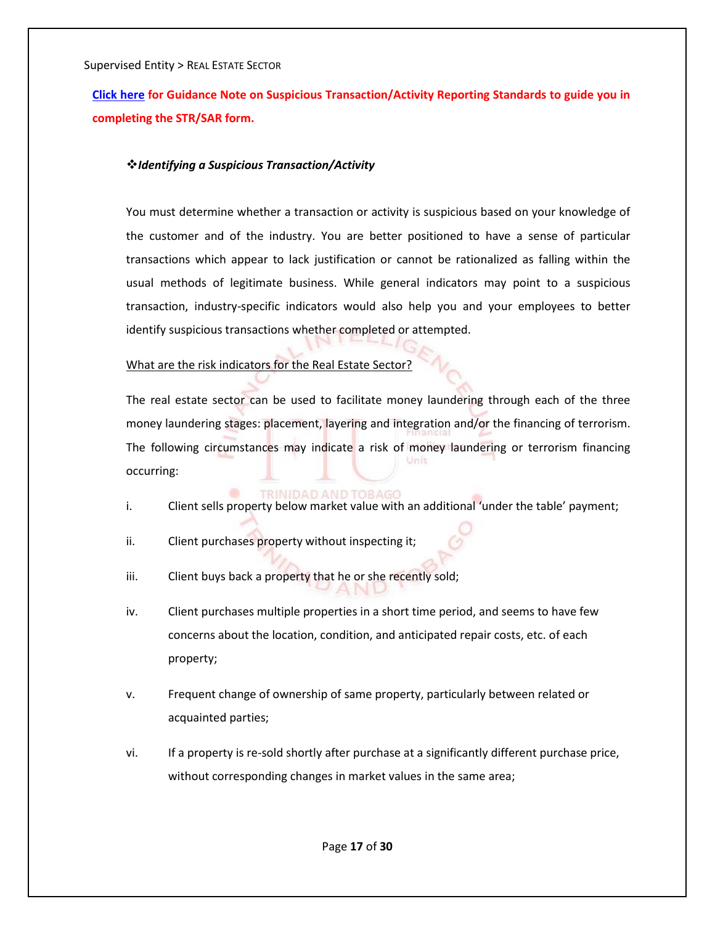**[Click here](https://www.fiu.gov.tt/wp-content/uploads/Guidance-Note-on-STR-SAR-Reporting-Standard-October-02-2019.pdf) for Guidance Note on Suspicious Transaction/Activity Reporting Standards to guide you in completing the STR/SAR form.**

## *Identifying a Suspicious Transaction/Activity*

You must determine whether a transaction or activity is suspicious based on your knowledge of the customer and of the industry. You are better positioned to have a sense of particular transactions which appear to lack justification or cannot be rationalized as falling within the usual methods of legitimate business. While general indicators may point to a suspicious transaction, industry-specific indicators would also help you and your employees to better identify suspicious transactions whether completed or attempted.

## What are the risk indicators for the Real Estate Sector?

The real estate sector can be used to facilitate money laundering through each of the three money laundering stages: placement, layering and integration and/or the financing of terrorism. The following circumstances may indicate a risk of money laundering or terrorism financing Unit occurring:

#### **TRINIDAD AND TORAGO**

- i. Client sells property below market value with an additional 'under the table' payment;
- ii. Client purchases property without inspecting it;
- iii. Client buys back a property that he or she recently sold;
- iv. Client purchases multiple properties in a short time period, and seems to have few concerns about the location, condition, and anticipated repair costs, etc. of each property;
- v. Frequent change of ownership of same property, particularly between related or acquainted parties;
- vi. If a property is re-sold shortly after purchase at a significantly different purchase price, without corresponding changes in market values in the same area;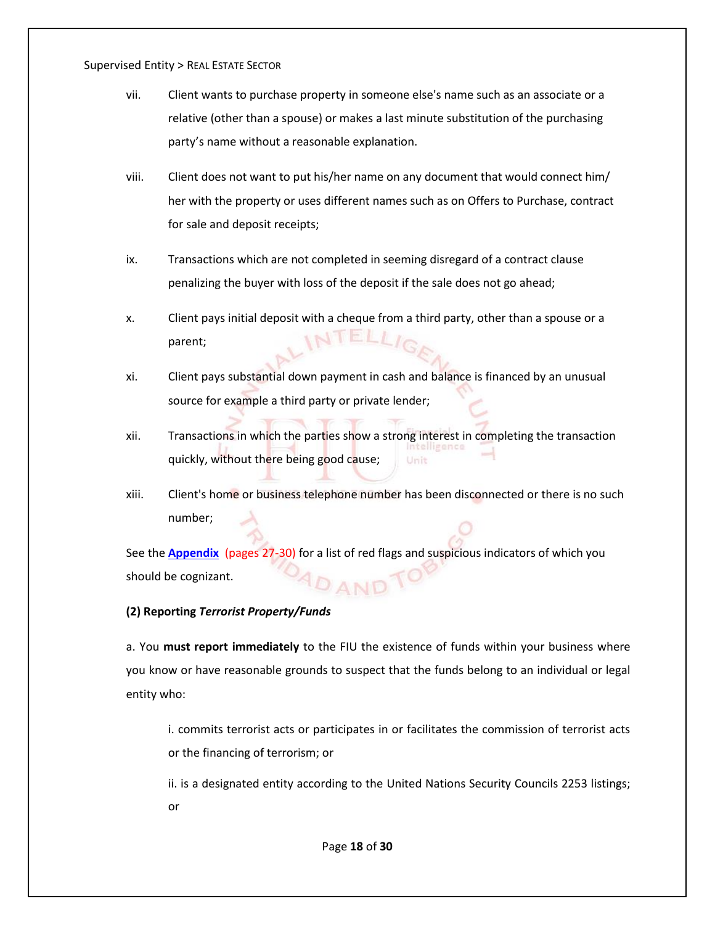- vii. Client wants to purchase property in someone else's name such as an associate or a relative (other than a spouse) or makes a last minute substitution of the purchasing party's name without a reasonable explanation.
- viii. Client does not want to put his/her name on any document that would connect him/ her with the property or uses different names such as on Offers to Purchase, contract for sale and deposit receipts;
- ix. Transactions which are not completed in seeming disregard of a contract clause penalizing the buyer with loss of the deposit if the sale does not go ahead;
- x. Client pays initial deposit with a cheque from a third party, other than a spouse or a parent;
- xi. Client pays substantial down payment in cash and balance is financed by an unusual source for example a third party or private lender;
- xii. Transactions in which the parties show a strong interest in completing the transaction quickly, without there being good cause; Unit
- xiii. Client's home or business telephone number has been disconnected or there is no such number;

See the **[Appendix](#page-26-0)** (pages 27-30) for a list of red flags and suspicious indicators of which you should be cognizant. PAND

## **(2) Reporting** *Terrorist Property/Funds*

a. You **must report immediately** to the FIU the existence of funds within your business where you know or have reasonable grounds to suspect that the funds belong to an individual or legal entity who:

i. commits terrorist acts or participates in or facilitates the commission of terrorist acts or the financing of terrorism; or

ii. is a designated entity according to the United Nations Security Councils 2253 listings; or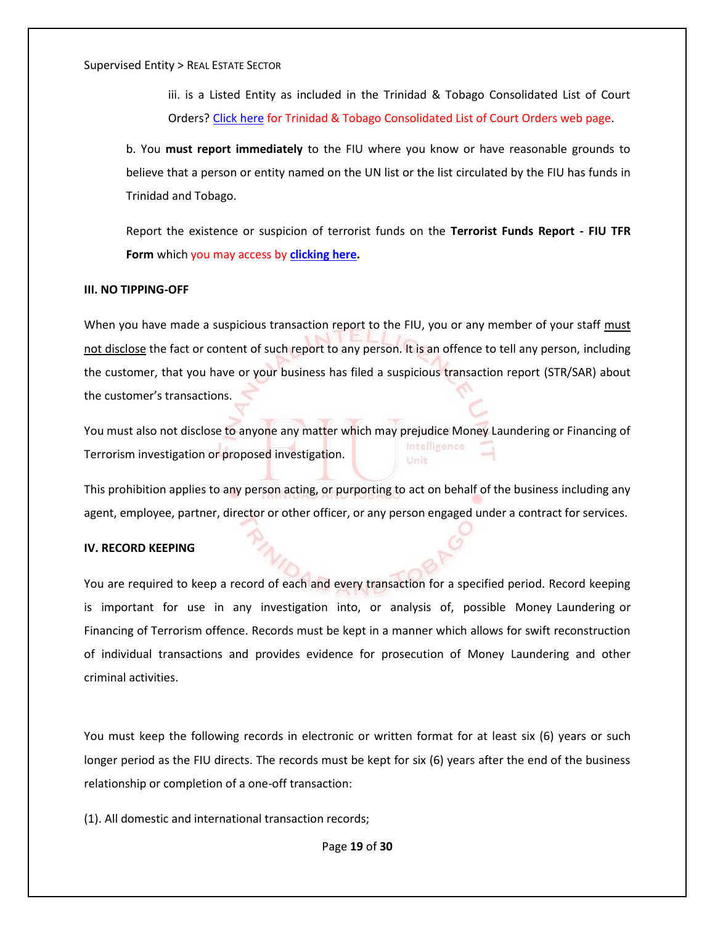iii. is a Listed Entity as included in the Trinidad & Tobago Consolidated List of Court Orders? [Click](https://www.fiu.gov.tt/about-us/news/court-orders/) here for Trinidad & Tobago Consolidated List of Court Orders web page.

b. You **must report immediately** to the FIU where you know or have reasonable grounds to believe that a person or entity named on the UN list or the list circulated by the FIU has funds in Trinidad and Tobago.

Report the existence or suspicion of terrorist funds on the **Terrorist Funds Report - FIU TFR Form** which you may access by **[clicking here.](https://www.fiu.gov.tt/wp-content/uploads/Terrorist-Funds-Report-May-18-2016.pdf)** 

#### **III. NO TIPPING-OFF**

When you have made a suspicious transaction report to the FIU, you or any member of your staff must not disclose the fact or content of such report to any person. It is an offence to tell any person, including the customer, that you have or your business has filed a suspicious transaction report (STR/SAR) about the customer's transactions.

You must also not disclose to anyone any matter which may prejudice Money Laundering or Financing of Intelligence Terrorism investigation or proposed investigation. Unit

This prohibition applies to any person acting, or purporting to act on behalf of the business including any agent, employee, partner, director or other officer, or any person engaged under a contract for services.

#### **IV. RECORD KEEPING**

You are required to keep a record of each and every transaction for a specified period. Record keeping is important for use in any investigation into, or analysis of, possible Money Laundering or Financing of Terrorism offence. Records must be kept in a manner which allows for swift reconstruction of individual transactions and provides evidence for prosecution of Money Laundering and other criminal activities.

You must keep the following records in electronic or written format for at least six (6) years or such longer period as the FIU directs. The records must be kept for six (6) years after the end of the business relationship or completion of a one-off transaction:

(1). All domestic and international transaction records;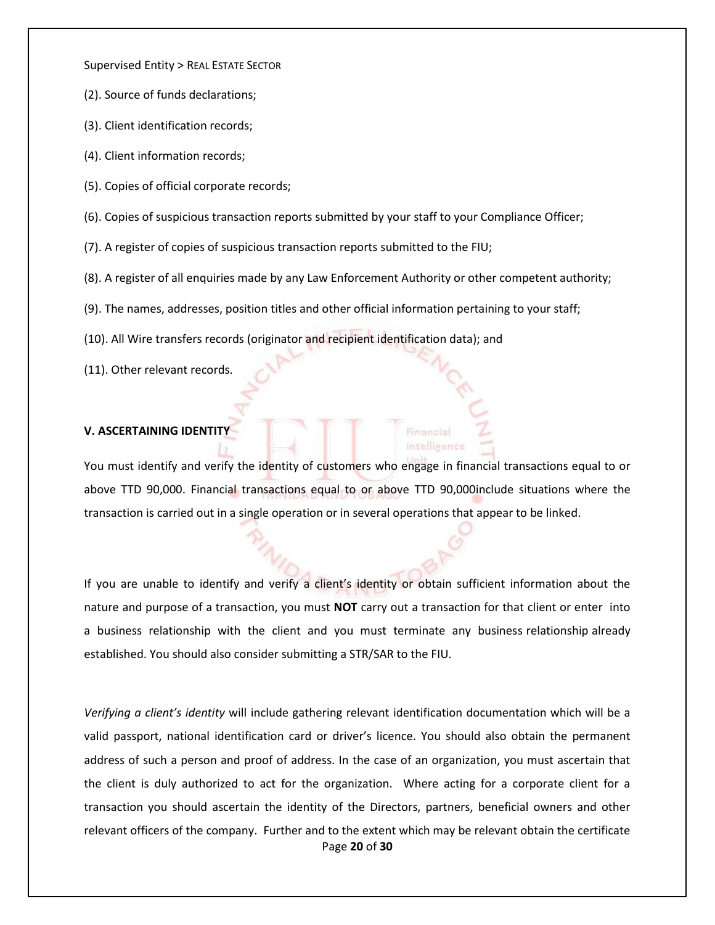- (2). Source of funds declarations;
- (3). Client identification records;
- (4). Client information records;
- (5). Copies of official corporate records;
- (6). Copies of suspicious transaction reports submitted by your staff to your Compliance Officer;
- (7). A register of copies of suspicious transaction reports submitted to the FIU;
- (8). A register of all enquiries made by any Law Enforcement Authority or other competent authority;
- (9). The names, addresses, position titles and other official information pertaining to your staff;
- (10). All Wire transfers records (originator and recipient identification data); and
- (11). Other relevant records.

## **V. ASCERTAINING IDENTITY**

You must identify and verify the identity of customers who engage in financial transactions equal to or above TTD 90,000. Financial transactions equal to or above TTD 90,000include situations where the transaction is carried out in a single operation or in several operations that appear to be linked.

inancial Intelligenc

If you are unable to identify and verify a client's identity or obtain sufficient information about the nature and purpose of a transaction, you must **NOT** carry out a transaction for that client or enter into a business relationship with the client and you must terminate any business relationship already established. You should also consider submitting a STR/SAR to the FIU.

Page **20** of **30** *Verifying a client's identity* will include gathering relevant identification documentation which will be a valid passport, national identification card or driver's licence. You should also obtain the permanent address of such a person and proof of address. In the case of an organization, you must ascertain that the client is duly authorized to act for the organization. Where acting for a corporate client for a transaction you should ascertain the identity of the Directors, partners, beneficial owners and other relevant officers of the company. Further and to the extent which may be relevant obtain the certificate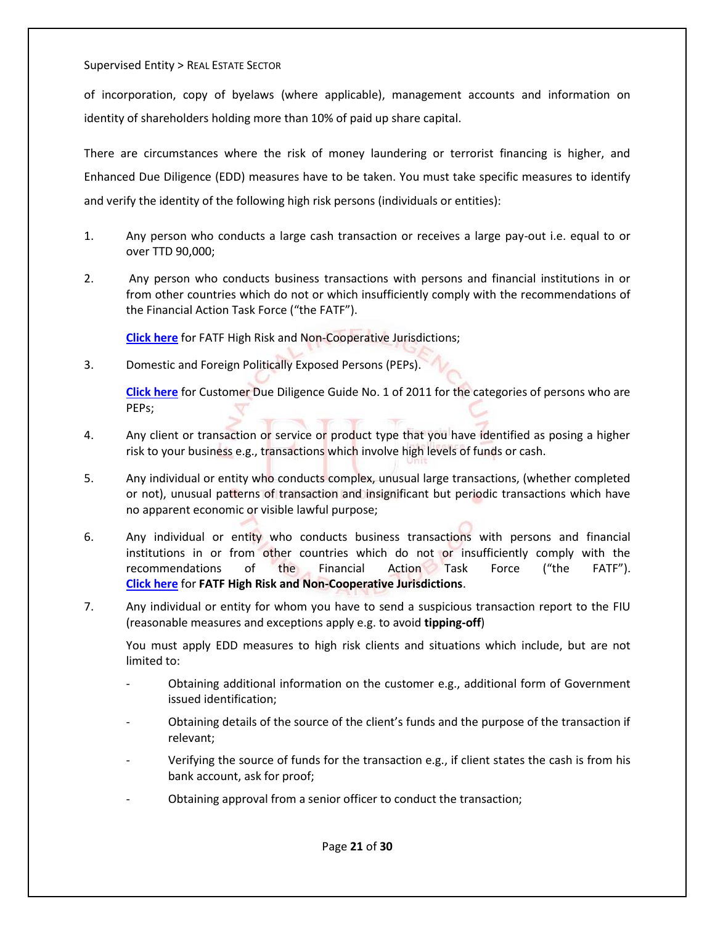of incorporation, copy of byelaws (where applicable), management accounts and information on identity of shareholders holding more than 10% of paid up share capital.

There are circumstances where the risk of money laundering or terrorist financing is higher, and Enhanced Due Diligence (EDD) measures have to be taken. You must take specific measures to identify and verify the identity of the following high risk persons (individuals or entities):

- 1. Any person who conducts a large cash transaction or receives a large pay-out i.e. equal to or over TTD 90,000;
- 2. Any person who conducts business transactions with persons and financial institutions in or from other countries which do not or which insufficiently comply with the recommendations of the Financial Action Task Force ("the FATF").

**[Click here](https://www.fiu.gov.tt/wp-content/uploads/32.pdf)** for FATF High Risk and Non-Cooperative Jurisdictions;

3. Domestic and Foreign Politically Exposed Persons (PEPs).

**[Click here](https://www.fiu.gov.tt/wp-content/uploads/Customer-Due-Diligence-Guide-No-1-of-2011.pdf)** for Customer Due Diligence Guide No. 1 of 2011 for the categories of persons who are PEPs;

- 4. Any client or transaction or service or product type that you have identified as posing a higher risk to your business e.g., transactions which involve high levels of funds or cash.
- 5. Any individual or entity who conducts complex, unusual large transactions, (whether completed or not), unusual patterns of transaction and insignificant but periodic transactions which have no apparent economic or visible lawful purpose;
- 6. Any individual or entity who conducts business transactions with persons and financial institutions in or from other countries which do not or insufficiently comply with the recommendations of the Financial Action Task Force ("the FATF"). **[Click here](https://www.fiu.gov.tt/wp-content/uploads/32.pdf)** for **FATF High Risk and Non-Cooperative Jurisdictions**.
- 7. Any individual or entity for whom you have to send a suspicious transaction report to the FIU (reasonable measures and exceptions apply e.g. to avoid **tipping-off**)

You must apply EDD measures to high risk clients and situations which include, but are not limited to:

- Obtaining additional information on the customer e.g., additional form of Government issued identification;
- Obtaining details of the source of the client's funds and the purpose of the transaction if relevant;
- Verifying the source of funds for the transaction e.g., if client states the cash is from his bank account, ask for proof;
- Obtaining approval from a senior officer to conduct the transaction;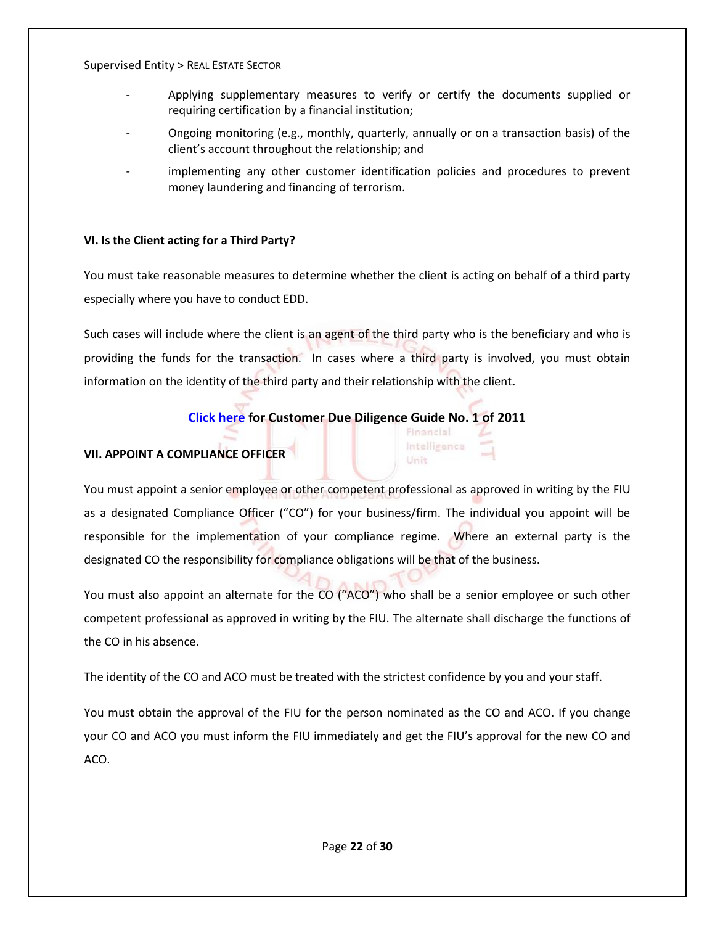- Applying supplementary measures to verify or certify the documents supplied or requiring certification by a financial institution;
- Ongoing monitoring (e.g., monthly, quarterly, annually or on a transaction basis) of the client's account throughout the relationship; and
- implementing any other customer identification policies and procedures to prevent money laundering and financing of terrorism.

## **VI. Is the Client acting for a Third Party?**

You must take reasonable measures to determine whether the client is acting on behalf of a third party especially where you have to conduct EDD.

Such cases will include where the client is an agent of the third party who is the beneficiary and who is providing the funds for the transaction. In cases where a third party is involved, you must obtain information on the identity of the third party and their relationship with the client**.**

## **[Click here](https://www.fiu.gov.tt/wp-content/uploads/Customer-Due-Diligence-Guide-No-1-of-2011.pdf) for Customer Due Diligence Guide No. 1 of 2011**

Financial Intelligence Unit

## **VII. APPOINT A COMPLIANCE OFFICER**

You must appoint a senior employee or other competent professional as approved in writing by the FIU as a designated Compliance Officer ("CO") for your business/firm. The individual you appoint will be responsible for the implementation of your compliance regime. Where an external party is the designated CO the responsibility for compliance obligations will be that of the business.

You must also appoint an alternate for the CO ("ACO") who shall be a senior employee or such other competent professional as approved in writing by the FIU. The alternate shall discharge the functions of the CO in his absence.

The identity of the CO and ACO must be treated with the strictest confidence by you and your staff.

You must obtain the approval of the FIU for the person nominated as the CO and ACO. If you change your CO and ACO you must inform the FIU immediately and get the FIU's approval for the new CO and ACO.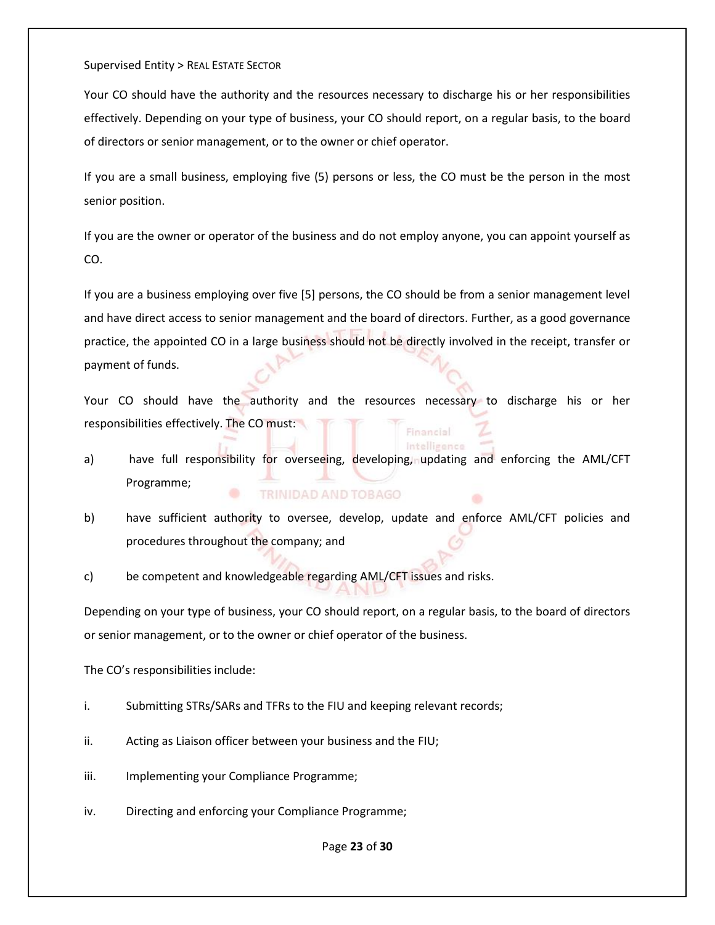Your CO should have the authority and the resources necessary to discharge his or her responsibilities effectively. Depending on your type of business, your CO should report, on a regular basis, to the board of directors or senior management, or to the owner or chief operator.

If you are a small business, employing five (5) persons or less, the CO must be the person in the most senior position.

If you are the owner or operator of the business and do not employ anyone, you can appoint yourself as CO.

If you are a business employing over five [5] persons, the CO should be from a senior management level and have direct access to senior management and the board of directors. Further, as a good governance practice, the appointed CO in a large business should not be directly involved in the receipt, transfer or payment of funds.

Your CO should have the authority and the resources necessary to discharge his or her responsibilities effectively. The CO must: Financial

a) have full responsibility for overseeing, developing, updating and enforcing the AML/CFT Programme; TRINIDAD AND TOBAGO

Intelligence

b) have sufficient authority to oversee, develop, update and enforce AML/CFT policies and procedures throughout the company; and

c) be competent and knowledgeable regarding AML/CFT issues and risks.

Depending on your type of business, your CO should report, on a regular basis, to the board of directors or senior management, or to the owner or chief operator of the business.

The CO's responsibilities include:

- i. Submitting STRs/SARs and TFRs to the FIU and keeping relevant records;
- ii. Acting as Liaison officer between your business and the FIU;
- iii. Implementing your Compliance Programme;
- iv. Directing and enforcing your Compliance Programme;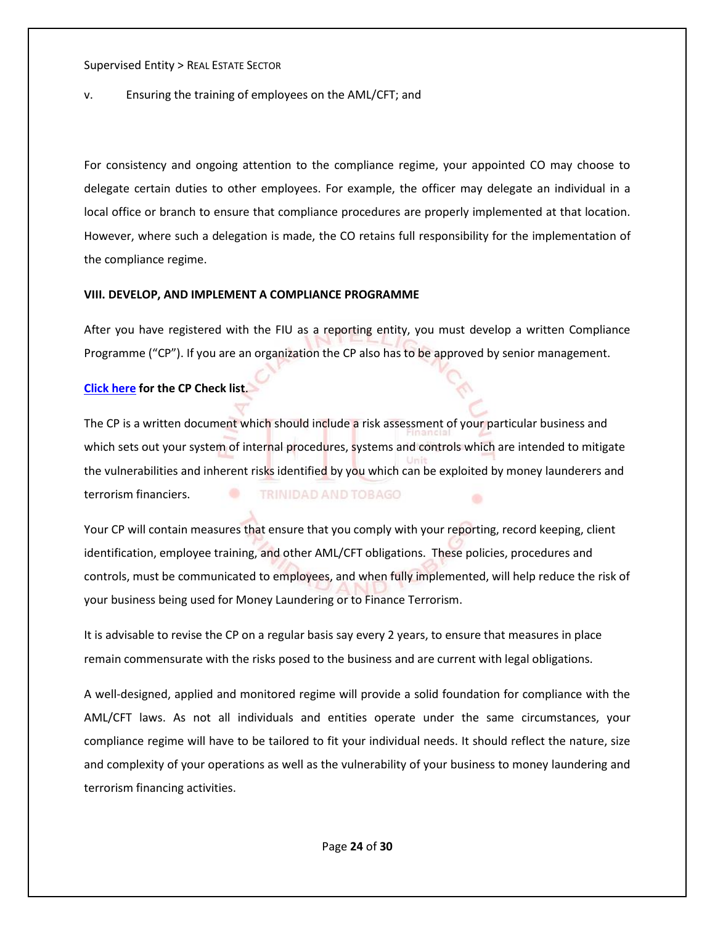## v. Ensuring the training of employees on the AML/CFT; and

For consistency and ongoing attention to the compliance regime, your appointed CO may choose to delegate certain duties to other employees. For example, the officer may delegate an individual in a local office or branch to ensure that compliance procedures are properly implemented at that location. However, where such a delegation is made, the CO retains full responsibility for the implementation of the compliance regime.

## **VIII. DEVELOP, AND IMPLEMENT A COMPLIANCE PROGRAMME**

After you have registered with the FIU as a reporting entity, you must develop a written Compliance Programme ("CP"). If you are an organization the CP also has to be approved by senior management.

## **[Click here](https://www.fiu.gov.tt/wp-content/uploads/28_May_19_Guidance_to_AML_CFT_Compliance_Programme-with-Appendix-I-1.pdf) for the CP Check list**.

The CP is a written document which should include a risk assessment of your particular business and which sets out your system of internal procedures, systems and controls which are intended to mitigate the vulnerabilities and inherent risks identified by you which can be exploited by money launderers and terrorism financiers. TRINIDAD AND TOBAGO

Your CP will contain measures that ensure that you comply with your reporting, record keeping, client identification, employee training, and other AML/CFT obligations. These policies, procedures and controls, must be communicated to employees, and when fully implemented, will help reduce the risk of your business being used for Money Laundering or to Finance Terrorism.

It is advisable to revise the CP on a regular basis say every 2 years, to ensure that measures in place remain commensurate with the risks posed to the business and are current with legal obligations.

A well-designed, applied and monitored regime will provide a solid foundation for compliance with the AML/CFT laws. As not all individuals and entities operate under the same circumstances, your compliance regime will have to be tailored to fit your individual needs. It should reflect the nature, size and complexity of your operations as well as the vulnerability of your business to money laundering and terrorism financing activities.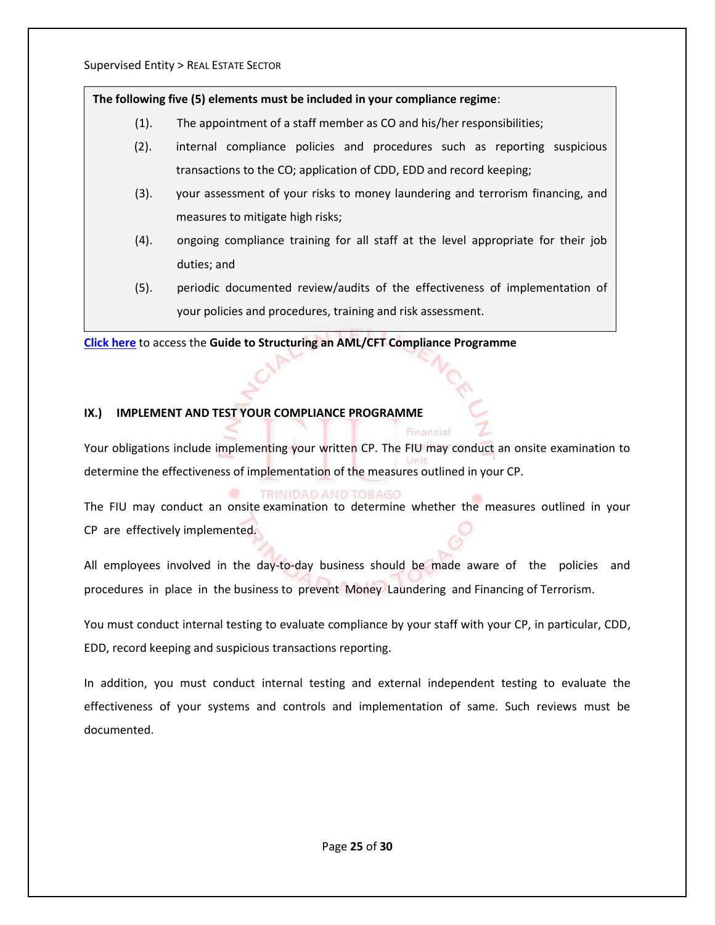## **The following five (5) elements must be included in your compliance regime**:

- (1). The appointment of a staff member as CO and his/her responsibilities;
- (2). internal compliance policies and procedures such as reporting suspicious transactions to the CO; application of CDD, EDD and record keeping;
- (3). your assessment of your risks to money laundering and terrorism financing, and measures to mitigate high risks;
- (4). ongoing compliance training for all staff at the level appropriate for their job duties; and
- (5). periodic documented review/audits of the effectiveness of implementation of your policies and procedures, training and risk assessment.

**[Click here](https://www.fiu.gov.tt/wp-content/uploads/28_May_19_Guidance_to_AML_CFT_Compliance_Programme-with-Appendix-I-1.pdf)** to access the **Guide to Structuring an AML/CFT Compliance Programme** 

## **IX.) IMPLEMENT AND TEST YOUR COMPLIANCE PROGRAMME**

Your obligations include implementing your written CP. The FIU may conduct an onsite examination to determine the effectiveness of implementation of the measures outlined in your CP.

Financial

## TRINIDAD AND TOBAGO

The FIU may conduct an onsite examination to determine whether the measures outlined in your CP are effectively implemented.

All employees involved in the day-to-day business should be made aware of the policies and procedures in place in the business to prevent Money Laundering and Financing of Terrorism.

You must conduct internal testing to evaluate compliance by your staff with your CP, in particular, CDD, EDD, record keeping and suspicious transactions reporting.

In addition, you must conduct internal testing and external independent testing to evaluate the effectiveness of your systems and controls and implementation of same. Such reviews must be documented.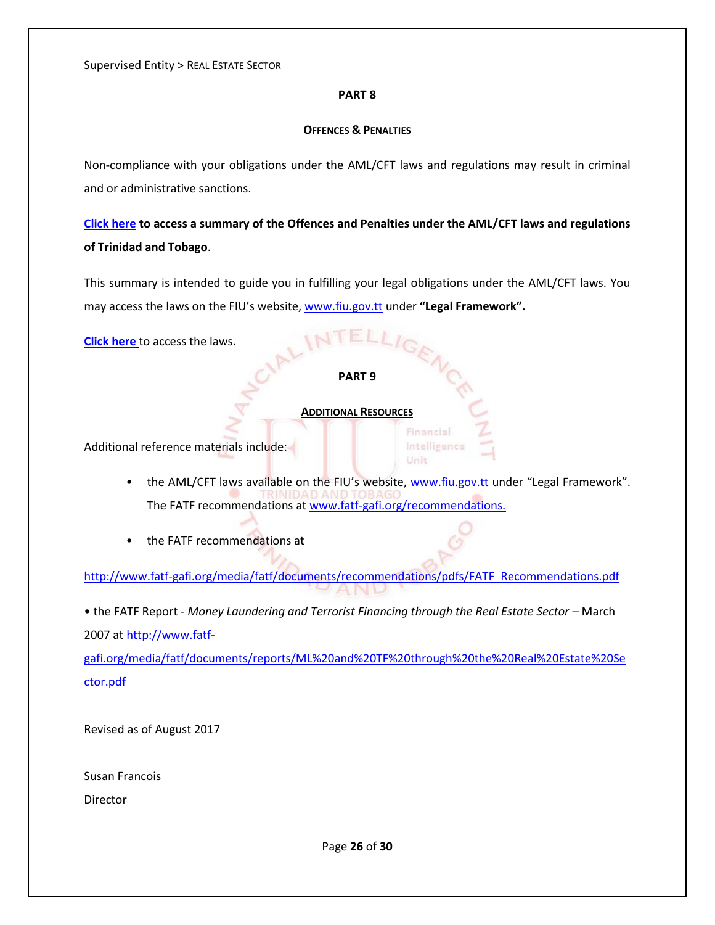## **PART 8**

#### **OFFENCES & PENALTIES**

Non-compliance with your obligations under the AML/CFT laws and regulations may result in criminal and or administrative sanctions.

**[Click here](https://www.fiu.gov.tt/wp-content/uploads/Offences-and-Penalties-under-AML-CFT-Laws-of-Trinidad-and-Tobago.pdf) to access a summary of the Offences and Penalties under the AML/CFT laws and regulations of Trinidad and Tobago**.

This summary is intended to guide you in fulfilling your legal obligations under the AML/CFT laws. You may access the laws on the FIU's website, [www.fiu.gov.tt](http://www.fiu.gov.tt/) under **"Legal Framework".** 

**[Click here](https://www.fiu.gov.tt/about-us/legal-framework/)** to access the laws.

#### **PART 9**

#### **ADDITIONAL RESOURCES**

Additional reference materials include:

• the AML/CFT laws available on the FIU's website, [www.fiu.gov.tt](http://www.fiu.gov.tt/) under "Legal Framework". The FATF recommendations at [www.fatf-gafi.org/recommendations.](http://www.fatf-gafi.org/recommendations)

Financial Intelligence Unit

• the FATF recommendations at

[http://www.fatf-gafi.org/media/fatf/documents/recommendations/pdfs/FATF\\_Recommendations.pdf](http://www.fatf-gafi.org/media/fatf/documents/recommendations/pdfs/FATF_Recommendations.pdf)

• the FATF Report - *Money Laundering and Terrorist Financing through the Real Estate Sector* – March 2007 at [http://www.fatf-](http://www.fatf-gafi.org/media/fatf/documents/reports/ML%20and%20TF%20through%20the%20Real%20Estate%20Sector.pdf)

[gafi.org/media/fatf/documents/reports/ML%20and%20TF%20through%20the%20Real%20Estate%20Se](http://www.fatf-gafi.org/media/fatf/documents/reports/ML%20and%20TF%20through%20the%20Real%20Estate%20Sector.pdf) [ctor.pdf](http://www.fatf-gafi.org/media/fatf/documents/reports/ML%20and%20TF%20through%20the%20Real%20Estate%20Sector.pdf)

Revised as of August 2017

Susan Francois

Director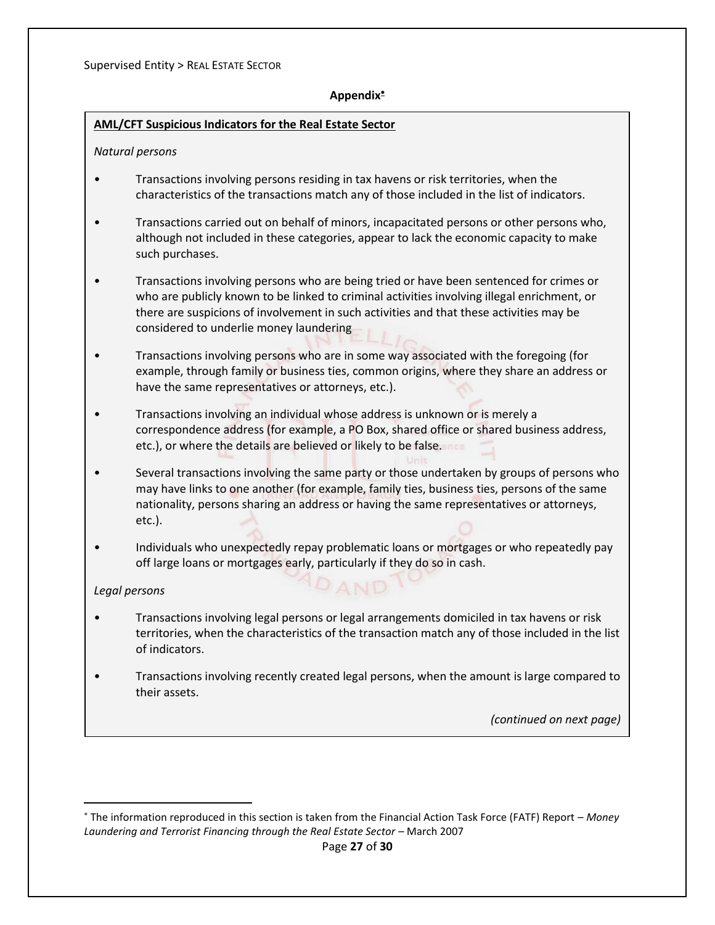## **Appendix**

## <span id="page-26-0"></span>**AML/CFT Suspicious Indicators for the Real Estate Sector**

## *Natural persons*

- Transactions involving persons residing in tax havens or risk territories, when the characteristics of the transactions match any of those included in the list of indicators.
- Transactions carried out on behalf of minors, incapacitated persons or other persons who, although not included in these categories, appear to lack the economic capacity to make such purchases.
- Transactions involving persons who are being tried or have been sentenced for crimes or who are publicly known to be linked to criminal activities involving illegal enrichment, or there are suspicions of involvement in such activities and that these activities may be considered to underlie money laundering
- Transactions involving persons who are in some way associated with the foregoing (for example, through family or business ties, common origins, where they share an address or have the same representatives or attorneys, etc.).
- Transactions involving an individual whose address is unknown or is merely a correspondence address (for example, a PO Box, shared office or shared business address, etc.), or where the details are believed or likely to be false.
- Several transactions involving the same party or those undertaken by groups of persons who may have links to one another (for example, family ties, business ties, persons of the same nationality, persons sharing an address or having the same representatives or attorneys, etc.).
- Individuals who unexpectedly repay problematic loans or mortgages or who repeatedly pay off large loans or mortgages early, particularly if they do so in cash.

DAND

## *Legal persons*

 $\overline{\phantom{a}}$ 

- Transactions involving legal persons or legal arrangements domiciled in tax havens or risk territories, when the characteristics of the transaction match any of those included in the list of indicators.
- Transactions involving recently created legal persons, when the amount is large compared to their assets.

*(continued on next page)*

The information reproduced in this section is taken from the Financial Action Task Force (FATF) Report – *Money Laundering and Terrorist Financing through the Real Estate Sector* – March 2007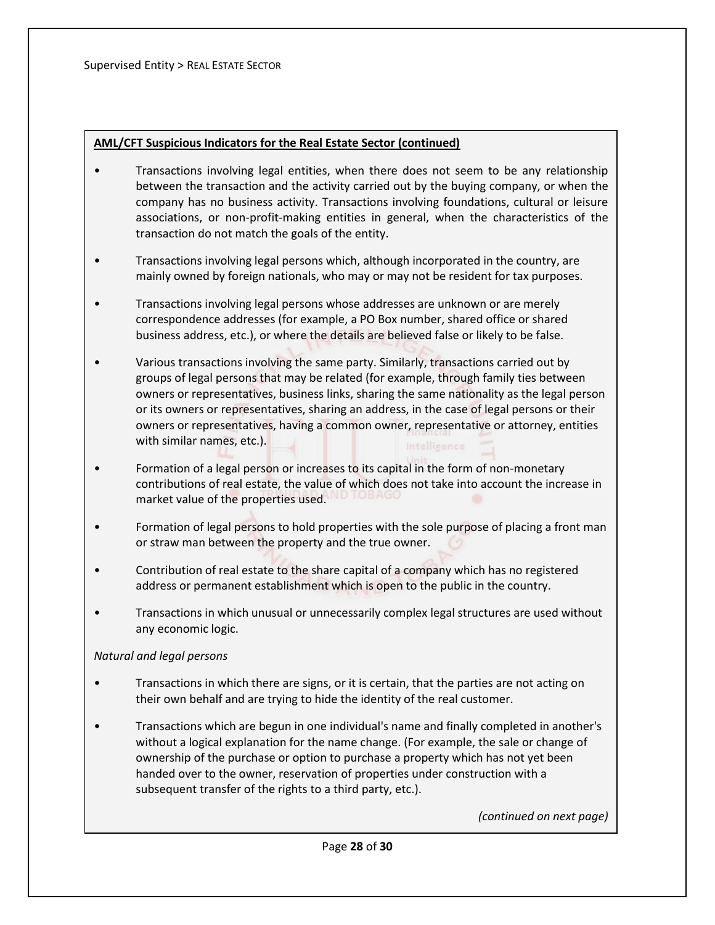## **AML/CFT Suspicious Indicators for the Real Estate Sector (continued)**

- Transactions involving legal entities, when there does not seem to be any relationship between the transaction and the activity carried out by the buying company, or when the company has no business activity. Transactions involving foundations, cultural or leisure associations, or non-profit-making entities in general, when the characteristics of the transaction do not match the goals of the entity.
- Transactions involving legal persons which, although incorporated in the country, are mainly owned by foreign nationals, who may or may not be resident for tax purposes.
- Transactions involving legal persons whose addresses are unknown or are merely correspondence addresses (for example, a PO Box number, shared office or shared business address, etc.), or where the details are believed false or likely to be false.
- Various transactions involving the same party. Similarly, transactions carried out by groups of legal persons that may be related (for example, through family ties between owners or representatives, business links, sharing the same nationality as the legal person or its owners or representatives, sharing an address, in the case of legal persons or their owners or representatives, having a common owner, representative or attorney, entities with similar names, etc.).
- Formation of a legal person or increases to its capital in the form of non-monetary contributions of real estate, the value of which does not take into account the increase in market value of the properties used.
- Formation of legal persons to hold properties with the sole purpose of placing a front man or straw man between the property and the true owner.
- Contribution of real estate to the share capital of a company which has no registered address or permanent establishment which is open to the public in the country.
- Transactions in which unusual or unnecessarily complex legal structures are used without any economic logic.

## *Natural and legal persons*

- Transactions in which there are signs, or it is certain, that the parties are not acting on their own behalf and are trying to hide the identity of the real customer.
- Transactions which are begun in one individual's name and finally completed in another's without a logical explanation for the name change. (For example, the sale or change of ownership of the purchase or option to purchase a property which has not yet been handed over to the owner, reservation of properties under construction with a subsequent transfer of the rights to a third party, etc.).

*(continued on next page)*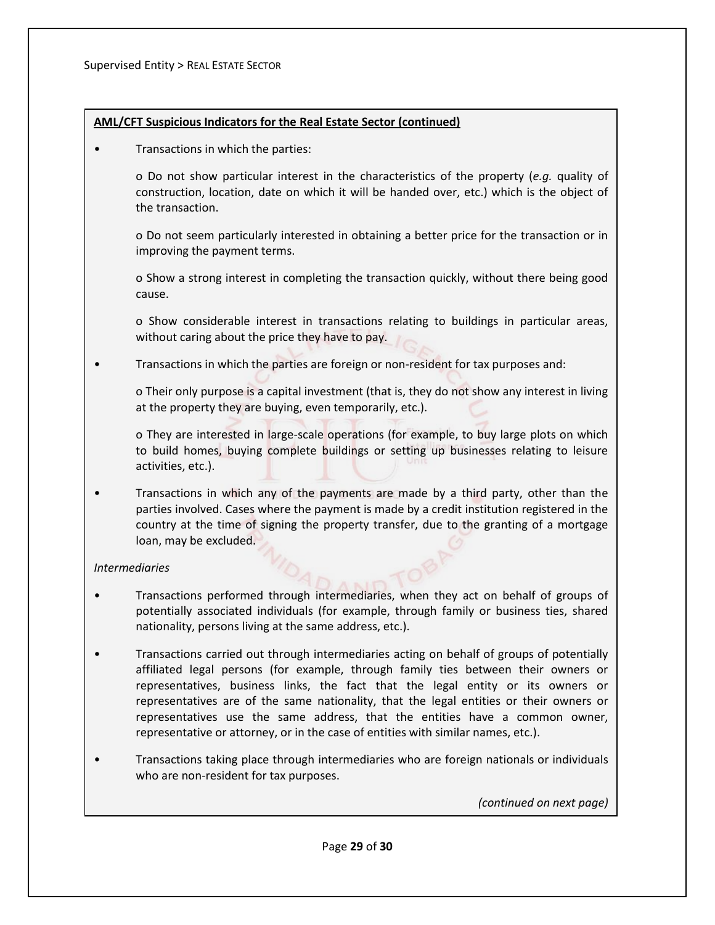## **AML/CFT Suspicious Indicators for the Real Estate Sector (continued)**

• Transactions in which the parties:

o Do not show particular interest in the characteristics of the property (*e.g.* quality of construction, location, date on which it will be handed over, etc.) which is the object of the transaction.

o Do not seem particularly interested in obtaining a better price for the transaction or in improving the payment terms.

o Show a strong interest in completing the transaction quickly, without there being good cause.

o Show considerable interest in transactions relating to buildings in particular areas, without caring about the price they have to pay.

• Transactions in which the parties are foreign or non-resident for tax purposes and:

o Their only purpose is a capital investment (that is, they do not show any interest in living at the property they are buying, even temporarily, etc.).

o They are interested in large-scale operations (for example, to buy large plots on which to build homes, buying complete buildings or setting up businesses relating to leisure activities, etc.).

• Transactions in which any of the payments are made by a third party, other than the parties involved. Cases where the payment is made by a credit institution registered in the country at the time of signing the property transfer, due to the granting of a mortgage loan, may be excluded.

## *Intermediaries*

- Transactions performed through intermediaries, when they act on behalf of groups of potentially associated individuals (for example, through family or business ties, shared nationality, persons living at the same address, etc.).
- Transactions carried out through intermediaries acting on behalf of groups of potentially affiliated legal persons (for example, through family ties between their owners or representatives, business links, the fact that the legal entity or its owners or representatives are of the same nationality, that the legal entities or their owners or representatives use the same address, that the entities have a common owner, representative or attorney, or in the case of entities with similar names, etc.).
- Transactions taking place through intermediaries who are foreign nationals or individuals who are non-resident for tax purposes.

*(continued on next page)*